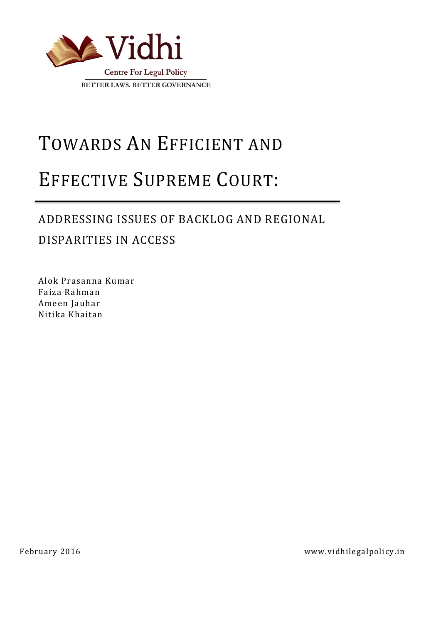

# TOWARDS AN EFFICIENT AND

# EFFECTIVE SUPREME COURT:

# ADDRESSING ISSUES OF BACKLOG AND REGIONAL

DISPARITIES IN ACCESS

Alok Prasanna Kumar Faiza Rahman Ameen Jauhar Nitika Khaitan

February 2016 www.vidhilegalpolicy.in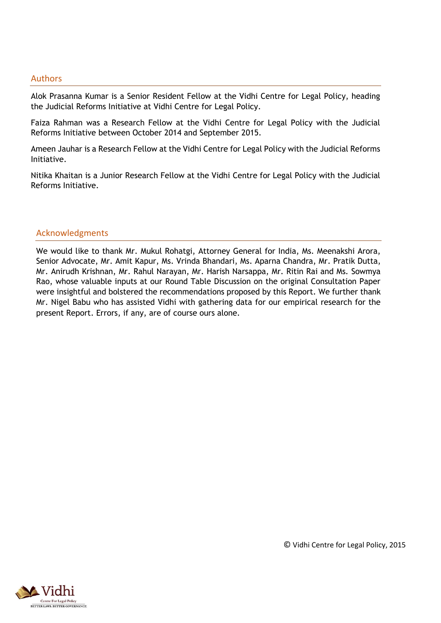#### Authors

Alok Prasanna Kumar is a Senior Resident Fellow at the Vidhi Centre for Legal Policy, heading the Judicial Reforms Initiative at Vidhi Centre for Legal Policy.

Faiza Rahman was a Research Fellow at the Vidhi Centre for Legal Policy with the Judicial Reforms Initiative between October 2014 and September 2015.

Ameen Jauhar is a Research Fellow at the Vidhi Centre for Legal Policy with the Judicial Reforms Initiative.

Nitika Khaitan is a Junior Research Fellow at the Vidhi Centre for Legal Policy with the Judicial Reforms Initiative.

#### Acknowledgments

We would like to thank Mr. Mukul Rohatgi, Attorney General for India, Ms. Meenakshi Arora, Senior Advocate, Mr. Amit Kapur, Ms. Vrinda Bhandari, Ms. Aparna Chandra, Mr. Pratik Dutta, Mr. Anirudh Krishnan, Mr. Rahul Narayan, Mr. Harish Narsappa, Mr. Ritin Rai and Ms. Sowmya Rao, whose valuable inputs at our Round Table Discussion on the original Consultation Paper were insightful and bolstered the recommendations proposed by this Report. We further thank Mr. Nigel Babu who has assisted Vidhi with gathering data for our empirical research for the present Report. Errors, if any, are of course ours alone.



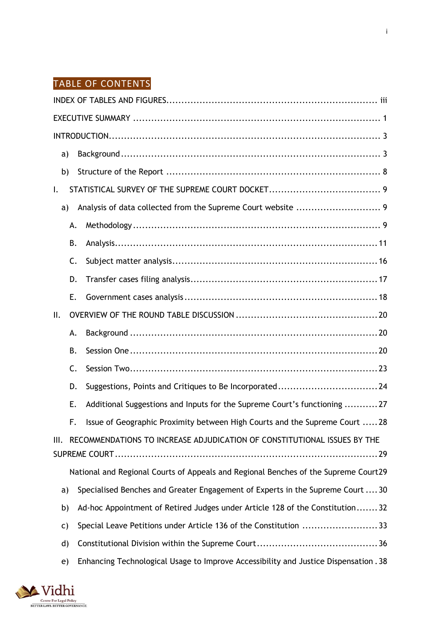# TABLE OF CONTENTS

| a)           |    |                                                                                     |
|--------------|----|-------------------------------------------------------------------------------------|
| b)           |    |                                                                                     |
| $\mathsf{L}$ |    |                                                                                     |
| a)           |    |                                                                                     |
|              | А. |                                                                                     |
|              | В. |                                                                                     |
|              | C. |                                                                                     |
|              | D. |                                                                                     |
|              | Ε. |                                                                                     |
| II.          |    |                                                                                     |
|              | А. |                                                                                     |
|              | В. |                                                                                     |
|              | C. |                                                                                     |
|              | D. | Suggestions, Points and Critiques to Be Incorporated24                              |
|              | Ε. | Additional Suggestions and Inputs for the Supreme Court's functioning 27            |
|              | F. | Issue of Geographic Proximity between High Courts and the Supreme Court  28         |
| Ш.           |    | RECOMMENDATIONS TO INCREASE ADJUDICATION OF CONSTITUTIONAL ISSUES BY THE            |
|              |    |                                                                                     |
|              |    | National and Regional Courts of Appeals and Regional Benches of the Supreme Court29 |
| a)           |    | Specialised Benches and Greater Engagement of Experts in the Supreme Court  30      |
| b)           |    | Ad-hoc Appointment of Retired Judges under Article 128 of the Constitution32        |
| C)           |    | Special Leave Petitions under Article 136 of the Constitution 33                    |
| d)           |    |                                                                                     |
| e)           |    | Enhancing Technological Usage to Improve Accessibility and Justice Dispensation. 38 |

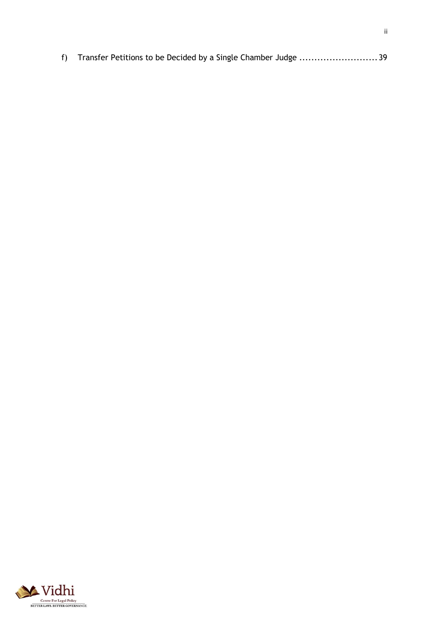|  |  | f) Transfer Petitions to be Decided by a Single Chamber Judge 39 |  |
|--|--|------------------------------------------------------------------|--|
|--|--|------------------------------------------------------------------|--|

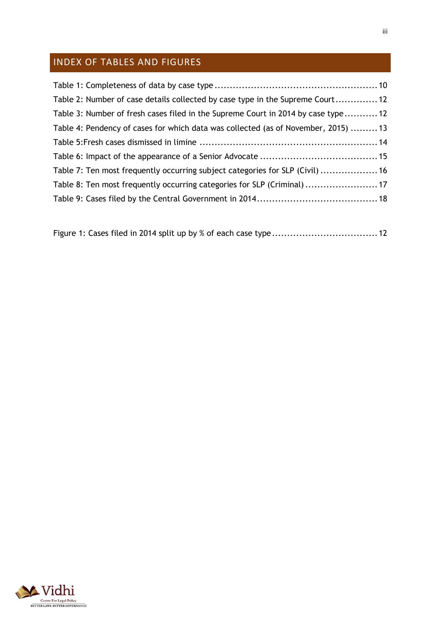# <span id="page-4-0"></span>INDEX OF TABLES AND FIGURES

| Table 2: Number of case details collected by case type in the Supreme Court 12     |  |
|------------------------------------------------------------------------------------|--|
| Table 3: Number of fresh cases filed in the Supreme Court in 2014 by case type 12  |  |
| Table 4: Pendency of cases for which data was collected (as of November, 2015)  13 |  |
|                                                                                    |  |
|                                                                                    |  |
| Table 7: Ten most frequently occurring subject categories for SLP (Civil)  16      |  |
| Table 8: Ten most frequently occurring categories for SLP (Criminal)  17           |  |
|                                                                                    |  |
|                                                                                    |  |

|--|--|--|

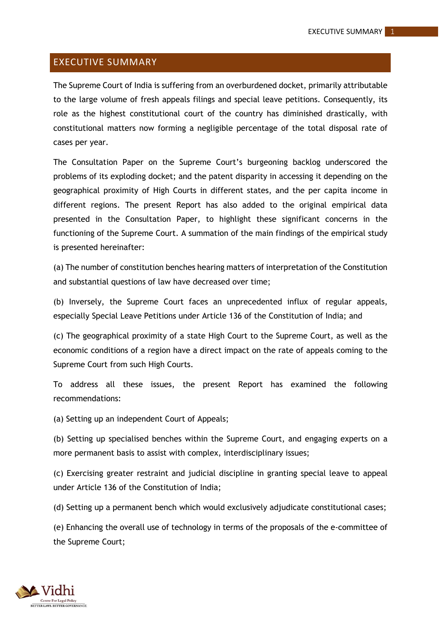# <span id="page-5-0"></span>EXECUTIVE SUMMARY

The Supreme Court of India is suffering from an overburdened docket, primarily attributable to the large volume of fresh appeals filings and special leave petitions. Consequently, its role as the highest constitutional court of the country has diminished drastically, with constitutional matters now forming a negligible percentage of the total disposal rate of cases per year.

The Consultation Paper on the Supreme Court's burgeoning backlog underscored the problems of its exploding docket; and the patent disparity in accessing it depending on the geographical proximity of High Courts in different states, and the per capita income in different regions. The present Report has also added to the original empirical data presented in the Consultation Paper, to highlight these significant concerns in the functioning of the Supreme Court. A summation of the main findings of the empirical study is presented hereinafter:

(a) The number of constitution benches hearing matters of interpretation of the Constitution and substantial questions of law have decreased over time;

(b) Inversely, the Supreme Court faces an unprecedented influx of regular appeals, especially Special Leave Petitions under Article 136 of the Constitution of India; and

(c) The geographical proximity of a state High Court to the Supreme Court, as well as the economic conditions of a region have a direct impact on the rate of appeals coming to the Supreme Court from such High Courts.

To address all these issues, the present Report has examined the following recommendations:

(a) Setting up an independent Court of Appeals;

(b) Setting up specialised benches within the Supreme Court, and engaging experts on a more permanent basis to assist with complex, interdisciplinary issues;

(c) Exercising greater restraint and judicial discipline in granting special leave to appeal under Article 136 of the Constitution of India;

(d) Setting up a permanent bench which would exclusively adjudicate constitutional cases;

(e) Enhancing the overall use of technology in terms of the proposals of the e-committee of the Supreme Court;

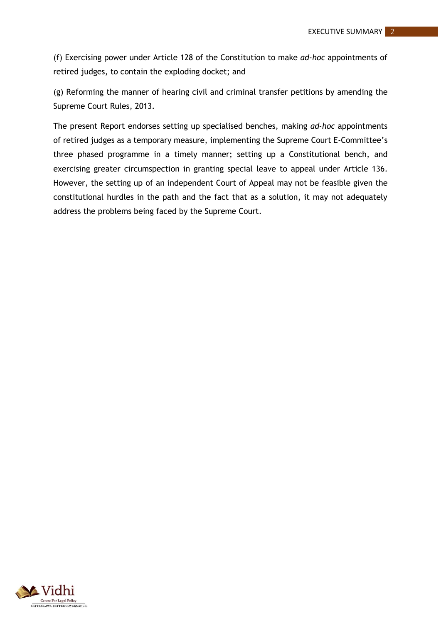(f) Exercising power under Article 128 of the Constitution to make *ad-hoc* appointments of retired judges, to contain the exploding docket; and

(g) Reforming the manner of hearing civil and criminal transfer petitions by amending the Supreme Court Rules, 2013.

The present Report endorses setting up specialised benches, making *ad-hoc* appointments of retired judges as a temporary measure, implementing the Supreme Court E-Committee's three phased programme in a timely manner; setting up a Constitutional bench, and exercising greater circumspection in granting special leave to appeal under Article 136. However, the setting up of an independent Court of Appeal may not be feasible given the constitutional hurdles in the path and the fact that as a solution, it may not adequately address the problems being faced by the Supreme Court.

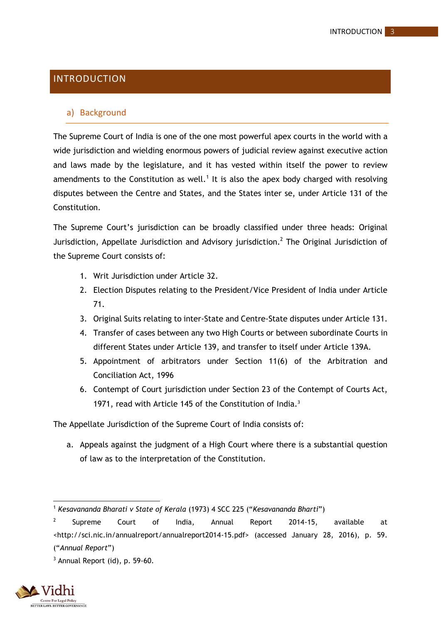# <span id="page-7-0"></span>INTRODUCTION

#### <span id="page-7-1"></span>a) Background

The Supreme Court of India is one of the one most powerful apex courts in the world with a wide jurisdiction and wielding enormous powers of judicial review against executive action and laws made by the legislature, and it has vested within itself the power to review amendments to the Constitution as well.<sup>1</sup> It is also the apex body charged with resolving disputes between the Centre and States, and the States inter se, under Article 131 of the Constitution.

The Supreme Court's jurisdiction can be broadly classified under three heads: Original Jurisdiction, Appellate Jurisdiction and Advisory jurisdiction.<sup>2</sup> The Original Jurisdiction of the Supreme Court consists of:

- 1. Writ Jurisdiction under Article 32.
- 2. Election Disputes relating to the President/Vice President of India under Article 71.
- 3. Original Suits relating to inter-State and Centre-State disputes under Article 131.
- 4. Transfer of cases between any two High Courts or between subordinate Courts in different States under Article 139, and transfer to itself under Article 139A.
- 5. Appointment of arbitrators under Section 11(6) of the Arbitration and Conciliation Act, 1996
- 6. Contempt of Court jurisdiction under Section 23 of the Contempt of Courts Act, 1971, read with Article 145 of the Constitution of India.<sup>3</sup>

The Appellate Jurisdiction of the Supreme Court of India consists of:

a. Appeals against the judgment of a High Court where there is a substantial question of law as to the interpretation of the Constitution.

 $3$  Annual Report (id), p. 59-60.



1

<sup>1</sup> *Kesavananda Bharati v State of Kerala* (1973) 4 SCC 225 ("*Kesavananda Bharti*")

<sup>&</sup>lt;sup>2</sup> Supreme Court of India, Annual Report 2014-15, available at <http://sci.nic.in/annualreport/annualreport2014-15.pdf> (accessed January 28, 2016), p. 59. ("*Annual Report*")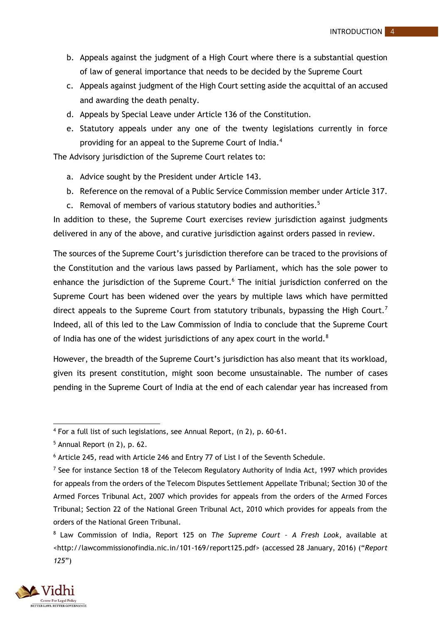- b. Appeals against the judgment of a High Court where there is a substantial question of law of general importance that needs to be decided by the Supreme Court
- c. Appeals against judgment of the High Court setting aside the acquittal of an accused and awarding the death penalty.
- d. Appeals by Special Leave under Article 136 of the Constitution.
- e. Statutory appeals under any one of the twenty legislations currently in force providing for an appeal to the Supreme Court of India.<sup>4</sup>

The Advisory jurisdiction of the Supreme Court relates to:

- a. Advice sought by the President under Article 143.
- b. Reference on the removal of a Public Service Commission member under Article 317.
- c. Removal of members of various statutory bodies and authorities.<sup>5</sup>

In addition to these, the Supreme Court exercises review jurisdiction against judgments delivered in any of the above, and curative jurisdiction against orders passed in review.

The sources of the Supreme Court's jurisdiction therefore can be traced to the provisions of the Constitution and the various laws passed by Parliament, which has the sole power to enhance the jurisdiction of the Supreme Court.<sup>6</sup> The initial jurisdiction conferred on the Supreme Court has been widened over the years by multiple laws which have permitted direct appeals to the Supreme Court from statutory tribunals, bypassing the High Court. Indeed, all of this led to the Law Commission of India to conclude that the Supreme Court of India has one of the widest jurisdictions of any apex court in the world. $8$ 

However, the breadth of the Supreme Court's jurisdiction has also meant that its workload, given its present constitution, might soon become unsustainable. The number of cases pending in the Supreme Court of India at the end of each calendar year has increased from

<sup>8</sup> Law Commission of India, Report 125 on *The Supreme Court – A Fresh Look*, available at [<http://lawcommissionofindia.nic.in/101-169/report125.pdf>](http://lawcommissionofindia.nic.in/101-169/report125.pdf) (accessed 28 January, 2016) ("*Report 125*")



 $\overline{a}$ 

<sup>4</sup> For a full list of such legislations, see Annual Report, (n 2), p. 60-61.

 $5$  Annual Report (n 2), p. 62.

<sup>6</sup> Article 245, read with Article 246 and Entry 77 of List I of the Seventh Schedule.

<sup>&</sup>lt;sup>7</sup> See for instance Section 18 of the Telecom Regulatory Authority of India Act, 1997 which provides for appeals from the orders of the Telecom Disputes Settlement Appellate Tribunal; Section 30 of the Armed Forces Tribunal Act, 2007 which provides for appeals from the orders of the Armed Forces Tribunal; Section 22 of the National Green Tribunal Act, 2010 which provides for appeals from the orders of the National Green Tribunal.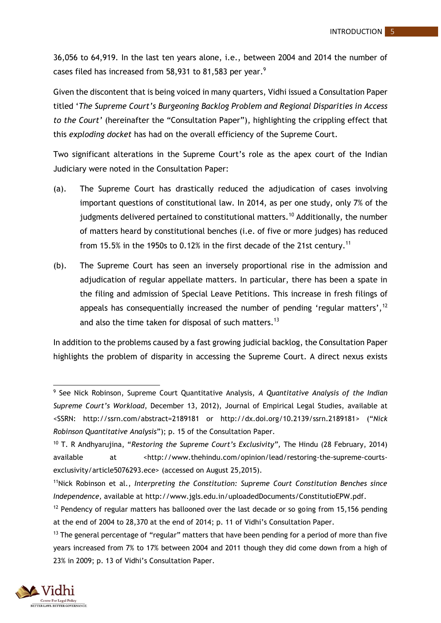36,056 to 64,919. In the last ten years alone, i.e., between 2004 and 2014 the number of cases filed has increased from 58,931 to 81,583 per year.<sup>9</sup>

Given the discontent that is being voiced in many quarters, Vidhi issued a Consultation Paper titled '*The Supreme Court's Burgeoning Backlog Problem and Regional Disparities in Access to the Court'* (hereinafter the "Consultation Paper"), highlighting the crippling effect that this *exploding docket* has had on the overall efficiency of the Supreme Court.

Two significant alterations in the Supreme Court's role as the apex court of the Indian Judiciary were noted in the Consultation Paper:

- (a). The Supreme Court has drastically reduced the adjudication of cases involving important questions of constitutional law. In 2014, as per one study, only 7% of the judgments delivered pertained to constitutional matters.<sup>10</sup> Additionally, the number of matters heard by constitutional benches (i.e. of five or more judges) has reduced from 15.5% in the 1950s to 0.12% in the first decade of the 21st century.<sup>11</sup>
- (b). The Supreme Court has seen an inversely proportional rise in the admission and adjudication of regular appellate matters. In particular, there has been a spate in the filing and admission of Special Leave Petitions. This increase in fresh filings of appeals has consequentially increased the number of pending 'regular matters',  $12$ and also the time taken for disposal of such matters.<sup>13</sup>

In addition to the problems caused by a fast growing judicial backlog, the Consultation Paper highlights the problem of disparity in accessing the Supreme Court. A direct nexus exists

<sup>&</sup>lt;sup>13</sup> The general percentage of "regular" matters that have been pending for a period of more than five years increased from 7% to 17% between 2004 and 2011 though they did come down from a high of 23% in 2009; p. 13 of Vidhi's Consultation Paper.



<sup>1</sup> <sup>9</sup> See Nick Robinson, Supreme Court Quantitative Analysis, *A Quantitative Analysis of the Indian Supreme Court's Workload*, December 13, 2012), Journal of Empirical Legal Studies, available at <SSRN: http://ssrn.com/abstract=2189181 or http://dx.doi.org/10.2139/ssrn.2189181> ("*Nick Robinson Quantitative Analysis*"); p. 15 of the Consultation Paper.

<sup>10</sup> T. R Andhyarujina, "*Restoring the Supreme Court's Exclusivity",* The Hindu (28 February, 2014) available at *<*http://www.thehindu.com/opinion/lead/restoring-the-supreme-courtsexclusivity/article5076293.ece> (accessed on August 25,2015).

<sup>11</sup>Nick Robinson et al., *Interpreting the Constitution: Supreme Court Constitution Benches since Independence,* available at http://www.jgls.edu.in/uploadedDocuments/ConstitutioEPW.pdf.

 $12$  Pendency of regular matters has ballooned over the last decade or so going from 15,156 pending at the end of 2004 to 28,370 at the end of 2014; p. 11 of Vidhi's Consultation Paper.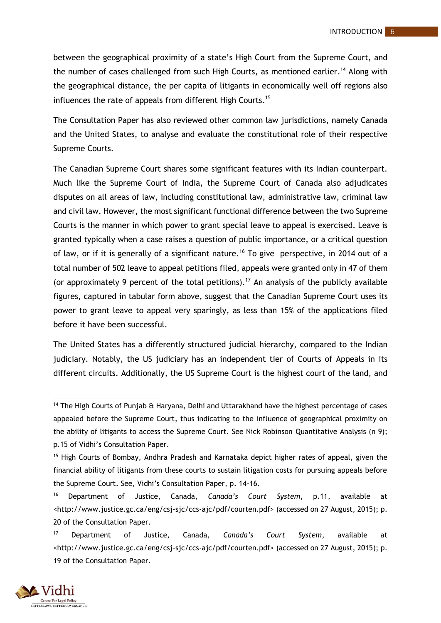between the geographical proximity of a state's High Court from the Supreme Court, and the number of cases challenged from such High Courts, as mentioned earlier.<sup>14</sup> Along with the geographical distance, the per capita of litigants in economically well off regions also influences the rate of appeals from different High Courts.<sup>15</sup>

The Consultation Paper has also reviewed other common law jurisdictions, namely Canada and the United States, to analyse and evaluate the constitutional role of their respective Supreme Courts.

The Canadian Supreme Court shares some significant features with its Indian counterpart. Much like the Supreme Court of India, the Supreme Court of Canada also adjudicates disputes on all areas of law, including constitutional law, administrative law, criminal law and civil law. However, the most significant functional difference between the two Supreme Courts is the manner in which power to grant special leave to appeal is exercised. Leave is granted typically when a case raises a question of public importance, or a critical question of law, or if it is generally of a significant nature.<sup>16</sup> To give perspective, in 2014 out of a total number of 502 leave to appeal petitions filed, appeals were granted only in 47 of them (or approximately 9 percent of the total petitions). <sup>17</sup> An analysis of the publicly available figures, captured in tabular form above, suggest that the Canadian Supreme Court uses its power to grant leave to appeal very sparingly, as less than 15% of the applications filed before it have been successful.

The United States has a differently structured judicial hierarchy, compared to the Indian judiciary. Notably, the US judiciary has an independent tier of Courts of Appeals in its different circuits. Additionally, the US Supreme Court is the highest court of the land, and

<sup>17</sup> Department of Justice, Canada, *Canada's Court System*, available at <http://www.justice.gc.ca/eng/csj-sjc/ccs-ajc/pdf/courten.pdf> (accessed on 27 August, 2015); p. 19 of the Consultation Paper.



**.** 

<sup>&</sup>lt;sup>14</sup> The High Courts of Punjab & Haryana, Delhi and Uttarakhand have the highest percentage of cases appealed before the Supreme Court, thus indicating to the influence of geographical proximity on the ability of litigants to access the Supreme Court. See Nick Robinson Quantitative Analysis (n 9); p.15 of Vidhi's Consultation Paper.

<sup>15</sup> High Courts of Bombay, Andhra Pradesh and Karnataka depict higher rates of appeal, given the financial ability of litigants from these courts to sustain litigation costs for pursuing appeals before the Supreme Court. See, Vidhi's Consultation Paper, p. 14-16.

<sup>16</sup> Department of Justice, Canada, *Canada's Court System*, p.11, available at <http://www.justice.gc.ca/eng/csj-sjc/ccs-ajc/pdf/courten.pdf> (accessed on 27 August, 2015); p. 20 of the Consultation Paper.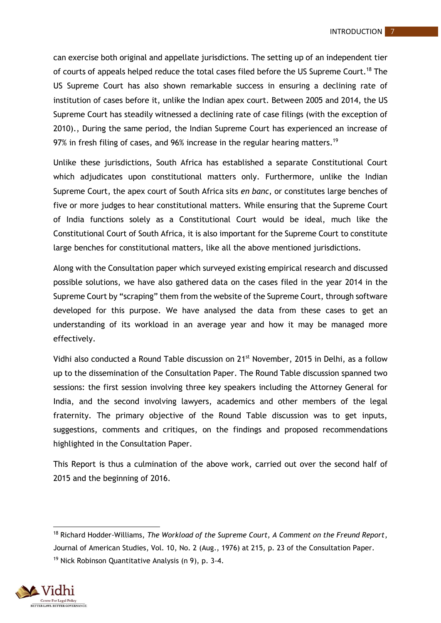can exercise both original and appellate jurisdictions. The setting up of an independent tier of courts of appeals helped reduce the total cases filed before the US Supreme Court.<sup>18</sup> The US Supreme Court has also shown remarkable success in ensuring a declining rate of institution of cases before it, unlike the Indian apex court. Between 2005 and 2014, the US Supreme Court has steadily witnessed a declining rate of case filings (with the exception of 2010)., During the same period, the Indian Supreme Court has experienced an increase of 97% in fresh filing of cases, and 96% increase in the regular hearing matters.<sup>19</sup>

Unlike these jurisdictions, South Africa has established a separate Constitutional Court which adjudicates upon constitutional matters only. Furthermore, unlike the Indian Supreme Court, the apex court of South Africa sits *en banc*, or constitutes large benches of five or more judges to hear constitutional matters. While ensuring that the Supreme Court of India functions solely as a Constitutional Court would be ideal, much like the Constitutional Court of South Africa, it is also important for the Supreme Court to constitute large benches for constitutional matters, like all the above mentioned jurisdictions.

Along with the Consultation paper which surveyed existing empirical research and discussed possible solutions, we have also gathered data on the cases filed in the year 2014 in the Supreme Court by "scraping" them from the website of the Supreme Court, through software developed for this purpose. We have analysed the data from these cases to get an understanding of its workload in an average year and how it may be managed more effectively.

Vidhi also conducted a Round Table discussion on 21<sup>st</sup> November, 2015 in Delhi, as a follow up to the dissemination of the Consultation Paper. The Round Table discussion spanned two sessions: the first session involving three key speakers including the Attorney General for India, and the second involving lawyers, academics and other members of the legal fraternity. The primary objective of the Round Table discussion was to get inputs, suggestions, comments and critiques, on the findings and proposed recommendations highlighted in the Consultation Paper.

This Report is thus a culmination of the above work, carried out over the second half of 2015 and the beginning of 2016.

<sup>1</sup> <sup>18</sup> Richard Hodder-Williams, *The Workload of the Supreme Court, A Comment on the Freund Report*, Journal of American Studies, Vol. 10, No. 2 (Aug., 1976) at 215, p. 23 of the Consultation Paper. <sup>19</sup> Nick Robinson Quantitative Analysis (n 9), p. 3-4.

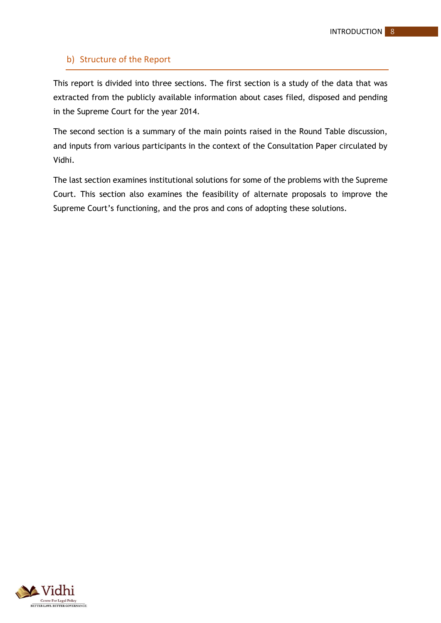# <span id="page-12-0"></span>b) Structure of the Report

This report is divided into three sections. The first section is a study of the data that was extracted from the publicly available information about cases filed, disposed and pending in the Supreme Court for the year 2014.

The second section is a summary of the main points raised in the Round Table discussion, and inputs from various participants in the context of the Consultation Paper circulated by Vidhi.

The last section examines institutional solutions for some of the problems with the Supreme Court. This section also examines the feasibility of alternate proposals to improve the Supreme Court's functioning, and the pros and cons of adopting these solutions.

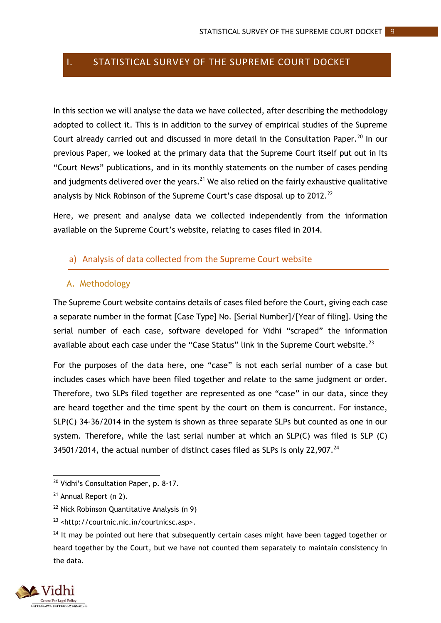# <span id="page-13-0"></span>I. STATISTICAL SURVEY OF THE SUPREME COURT DOCKET

In this section we will analyse the data we have collected, after describing the methodology adopted to collect it. This is in addition to the survey of empirical studies of the Supreme Court already carried out and discussed in more detail in the Consultation Paper.<sup>20</sup> In our previous Paper, we looked at the primary data that the Supreme Court itself put out in its "Court News" publications, and in its monthly statements on the number of cases pending and judgments delivered over the years.<sup>21</sup> We also relied on the fairly exhaustive qualitative analysis by Nick Robinson of the Supreme Court's case disposal up to 2012.<sup>22</sup>

Here, we present and analyse data we collected independently from the information available on the Supreme Court's website, relating to cases filed in 2014.

# <span id="page-13-1"></span>a) Analysis of data collected from the Supreme Court website

#### <span id="page-13-2"></span>A. Methodology

The Supreme Court website contains details of cases filed before the Court, giving each case a separate number in the format [Case Type] No. [Serial Number]/[Year of filing]. Using the serial number of each case, software developed for Vidhi "scraped" the information available about each case under the "Case Status" link in the Supreme Court website. $^{23}$ 

For the purposes of the data here, one "case" is not each serial number of a case but includes cases which have been filed together and relate to the same judgment or order. Therefore, two SLPs filed together are represented as one "case" in our data, since they are heard together and the time spent by the court on them is concurrent. For instance, SLP(C) 34-36/2014 in the system is shown as three separate SLPs but counted as one in our system. Therefore, while the last serial number at which an SLP(C) was filed is SLP (C) 34501/2014, the actual number of distinct cases filed as SLPs is only 22,907. $^{24}$ 

 $24$  It may be pointed out here that subsequently certain cases might have been tagged together or heard together by the Court, but we have not counted them separately to maintain consistency in the data.



 $\overline{a}$ 

<sup>&</sup>lt;sup>20</sup> Vidhi's Consultation Paper, p. 8-17.

<sup>21</sup> Annual Report (n 2).

<sup>22</sup> Nick Robinson Quantitative Analysis (n 9)

<sup>23</sup> <http://courtnic.nic.in/courtnicsc.asp>.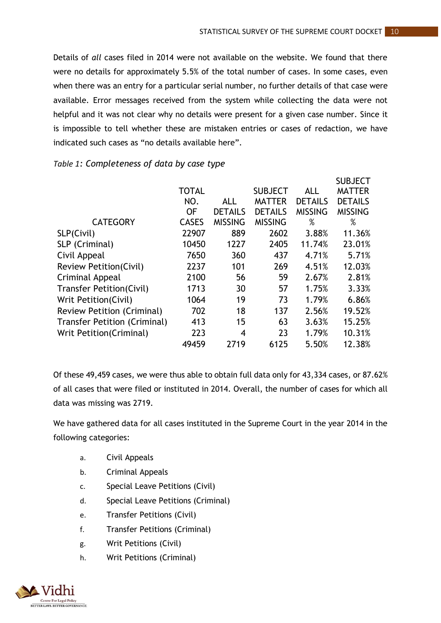Details of *all* cases filed in 2014 were not available on the website. We found that there were no details for approximately 5.5% of the total number of cases. In some cases, even when there was an entry for a particular serial number, no further details of that case were available. Error messages received from the system while collecting the data were not helpful and it was not clear why no details were present for a given case number. Since it is impossible to tell whether these are mistaken entries or cases of redaction, we have indicated such cases as "no details available here".

|                                   |              |                |                |                | <b>SUBJECT</b> |
|-----------------------------------|--------------|----------------|----------------|----------------|----------------|
|                                   | <b>TOTAL</b> |                | <b>SUBJECT</b> | <b>ALL</b>     | <b>MATTER</b>  |
|                                   | NO.          | <b>ALL</b>     | <b>MATTER</b>  | <b>DETAILS</b> | <b>DETAILS</b> |
|                                   | <b>OF</b>    | <b>DETAILS</b> | <b>DETAILS</b> | <b>MISSING</b> | <b>MISSING</b> |
| <b>CATEGORY</b>                   | <b>CASES</b> | <b>MISSING</b> | <b>MISSING</b> | %              | %              |
| SLP(Civil)                        | 22907        | 889            | 2602           | 3.88%          | 11.36%         |
| SLP (Criminal)                    | 10450        | 1227           | 2405           | 11.74%         | 23.01%         |
| Civil Appeal                      | 7650         | 360            | 437            | 4.71%          | 5.71%          |
| <b>Review Petition(Civil)</b>     | 2237         | 101            | 269            | 4.51%          | 12.03%         |
| Criminal Appeal                   | 2100         | 56             | 59             | 2.67%          | 2.81%          |
| <b>Transfer Petition(Civil)</b>   | 1713         | 30             | 57             | 1.75%          | 3.33%          |
| Writ Petition (Civil)             | 1064         | 19             | 73             | 1.79%          | 6.86%          |
| <b>Review Petition (Criminal)</b> | 702          | 18             | 137            | 2.56%          | 19.52%         |
| Transfer Petition (Criminal)      | 413          | 15             | 63             | 3.63%          | 15.25%         |
| Writ Petition (Criminal)          | 223          | 4              | 23             | 1.79%          | 10.31%         |
|                                   | 49459        | 2719           | 6125           | 5.50%          | 12.38%         |

# <span id="page-14-0"></span>*Table 1: Completeness of data by case type*

Of these 49,459 cases, we were thus able to obtain full data only for 43,334 cases, or 87.62% of all cases that were filed or instituted in 2014. Overall, the number of cases for which all data was missing was 2719.

We have gathered data for all cases instituted in the Supreme Court in the year 2014 in the following categories:

- a. Civil Appeals
- b. Criminal Appeals
- c. Special Leave Petitions (Civil)
- d. Special Leave Petitions (Criminal)
- e. Transfer Petitions (Civil)
- f. Transfer Petitions (Criminal)
- g. Writ Petitions (Civil)
- h. Writ Petitions (Criminal)

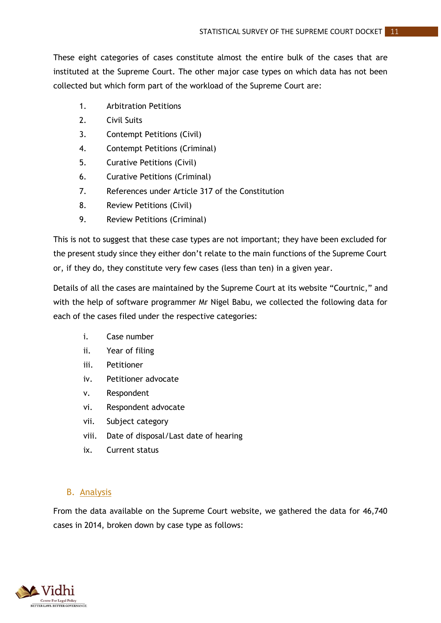These eight categories of cases constitute almost the entire bulk of the cases that are instituted at the Supreme Court. The other major case types on which data has not been collected but which form part of the workload of the Supreme Court are:

- 1. Arbitration Petitions
- 2. Civil Suits
- 3. Contempt Petitions (Civil)
- 4. Contempt Petitions (Criminal)
- 5. Curative Petitions (Civil)
- 6. Curative Petitions (Criminal)
- 7. References under Article 317 of the Constitution
- 8. Review Petitions (Civil)
- 9. Review Petitions (Criminal)

This is not to suggest that these case types are not important; they have been excluded for the present study since they either don't relate to the main functions of the Supreme Court or, if they do, they constitute very few cases (less than ten) in a given year.

Details of all the cases are maintained by the Supreme Court at its website "Courtnic," and with the help of software programmer Mr Nigel Babu, we collected the following data for each of the cases filed under the respective categories:

- i. Case number
- ii. Year of filing
- iii. Petitioner
- iv. Petitioner advocate
- v. Respondent
- vi. Respondent advocate
- vii. Subject category
- viii. Date of disposal/Last date of hearing
- ix. Current status

# <span id="page-15-0"></span>B. Analysis

From the data available on the Supreme Court website, we gathered the data for 46,740 cases in 2014, broken down by case type as follows:

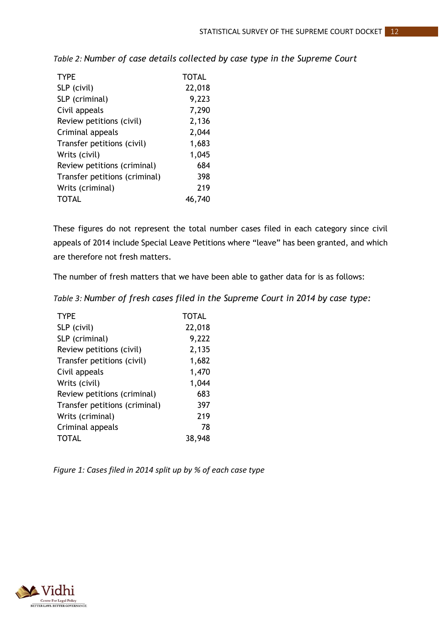| <b>TYPE</b>                   | <b>TOTAL</b> |
|-------------------------------|--------------|
| SLP (civil)                   | 22,018       |
| SLP (criminal)                | 9,223        |
| Civil appeals                 | 7,290        |
| Review petitions (civil)      | 2,136        |
| Criminal appeals              | 2,044        |
| Transfer petitions (civil)    | 1,683        |
| Writs (civil)                 | 1,045        |
| Review petitions (criminal)   | 684          |
| Transfer petitions (criminal) | 398          |
| Writs (criminal)              | 219          |
| <b>TOTAL</b>                  | 46,740       |

<span id="page-16-0"></span>*Table 2: Number of case details collected by case type in the Supreme Court*

These figures do not represent the total number cases filed in each category since civil appeals of 2014 include Special Leave Petitions where "leave" has been granted, and which are therefore not fresh matters.

The number of fresh matters that we have been able to gather data for is as follows:

<span id="page-16-1"></span>*Table 3: Number of fresh cases filed in the Supreme Court in 2014 by case type:*

| <b>TYPE</b>                   | <b>TOTAL</b> |
|-------------------------------|--------------|
| SLP (civil)                   | 22,018       |
| SLP (criminal)                | 9,222        |
| Review petitions (civil)      | 2,135        |
| Transfer petitions (civil)    | 1,682        |
| Civil appeals                 | 1,470        |
| Writs (civil)                 | 1,044        |
| Review petitions (criminal)   | 683          |
| Transfer petitions (criminal) | 397          |
| Writs (criminal)              | 219          |
| Criminal appeals              | 78           |
| <b>TOTAL</b>                  | 38,948       |

<span id="page-16-2"></span>*Figure 1: Cases filed in 2014 split up by % of each case type*

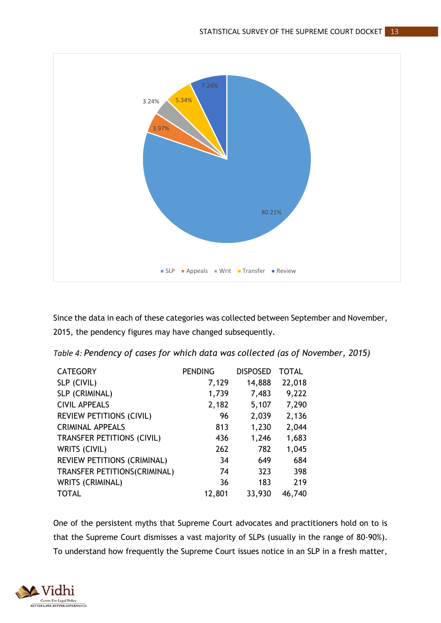

Since the data in each of these categories was collected between September and November, 2015, the pendency figures may have changed subsequently.

<span id="page-17-0"></span>*Table 4: Pendency of cases for which data was collected (as of November, 2015)*

| <b>CATEGORY</b>                    | <b>PENDING</b> | <b>DISPOSED</b> | <b>TOTAL</b> |
|------------------------------------|----------------|-----------------|--------------|
| SLP (CIVIL)                        | 7,129          | 14,888          | 22,018       |
| SLP (CRIMINAL)                     | 1,739          | 7,483           | 9,222        |
| <b>CIVIL APPEALS</b>               | 2,182          | 5,107           | 7,290        |
| <b>REVIEW PETITIONS (CIVIL)</b>    | 96             | 2,039           | 2,136        |
| <b>CRIMINAL APPEALS</b>            | 813            | 1,230           | 2,044        |
| <b>TRANSFER PETITIONS (CIVIL)</b>  | 436            | 1,246           | 1,683        |
| WRITS (CIVIL)                      | 262            | 782             | 1,045        |
| <b>REVIEW PETITIONS (CRIMINAL)</b> | 34             | 649             | 684          |
| TRANSFER PETITIONS(CRIMINAL)       | 74             | 323             | 398          |
| <b>WRITS (CRIMINAL)</b>            | 36             | 183             | 219          |
| <b>TOTAL</b>                       | 12,801         | 33,930          | 46,740       |

One of the persistent myths that Supreme Court advocates and practitioners hold on to is that the Supreme Court dismisses a vast majority of SLPs (usually in the range of 80-90%). To understand how frequently the Supreme Court issues notice in an SLP in a fresh matter,

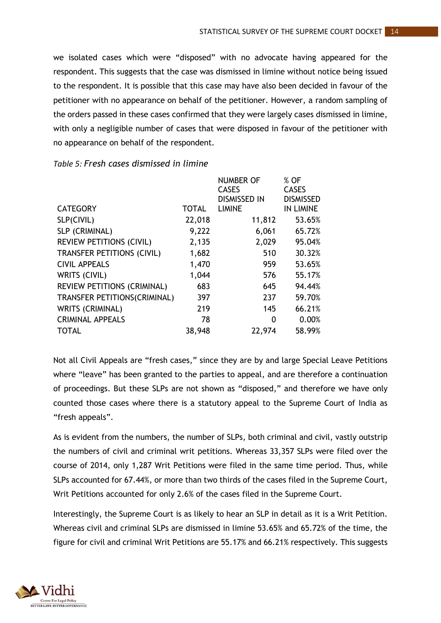we isolated cases which were "disposed" with no advocate having appeared for the respondent. This suggests that the case was dismissed in limine without notice being issued to the respondent. It is possible that this case may have also been decided in favour of the petitioner with no appearance on behalf of the petitioner. However, a random sampling of the orders passed in these cases confirmed that they were largely cases dismissed in limine, with only a negligible number of cases that were disposed in favour of the petitioner with no appearance on behalf of the respondent.

|                                   |              | <b>NUMBER OF</b>    | % OF             |
|-----------------------------------|--------------|---------------------|------------------|
|                                   |              | <b>CASES</b>        | <b>CASES</b>     |
|                                   |              | <b>DISMISSED IN</b> | <b>DISMISSED</b> |
| <b>CATEGORY</b>                   | <b>TOTAL</b> | <b>LIMINE</b>       | IN LIMINE        |
| SLP(CIVIL)                        | 22,018       | 11,812              | 53.65%           |
| SLP (CRIMINAL)                    | 9,222        | 6,061               | 65.72%           |
| <b>REVIEW PETITIONS (CIVIL)</b>   | 2,135        | 2,029               | 95.04%           |
| <b>TRANSFER PETITIONS (CIVIL)</b> | 1,682        | 510                 | 30.32%           |
| <b>CIVIL APPEALS</b>              | 1,470        | 959                 | 53.65%           |
| WRITS (CIVIL)                     | 1,044        | 576                 | 55.17%           |
| REVIEW PETITIONS (CRIMINAL)       | 683          | 645                 | 94.44%           |
| TRANSFER PETITIONS(CRIMINAL)      | 397          | 237                 | 59.70%           |
| <b>WRITS (CRIMINAL)</b>           | 219          | 145                 | 66.21%           |
| <b>CRIMINAL APPEALS</b>           | 78           | 0                   | 0.00%            |
| <b>TOTAL</b>                      | 38,948       | 22,974              | 58.99%           |

#### <span id="page-18-0"></span>*Table 5: Fresh cases dismissed in limine*

Not all Civil Appeals are "fresh cases," since they are by and large Special Leave Petitions where "leave" has been granted to the parties to appeal, and are therefore a continuation of proceedings. But these SLPs are not shown as "disposed," and therefore we have only counted those cases where there is a statutory appeal to the Supreme Court of India as "fresh appeals".

As is evident from the numbers, the number of SLPs, both criminal and civil, vastly outstrip the numbers of civil and criminal writ petitions. Whereas 33,357 SLPs were filed over the course of 2014, only 1,287 Writ Petitions were filed in the same time period. Thus, while SLPs accounted for 67.44%, or more than two thirds of the cases filed in the Supreme Court, Writ Petitions accounted for only 2.6% of the cases filed in the Supreme Court.

Interestingly, the Supreme Court is as likely to hear an SLP in detail as it is a Writ Petition. Whereas civil and criminal SLPs are dismissed in limine 53.65% and 65.72% of the time, the figure for civil and criminal Writ Petitions are 55.17% and 66.21% respectively. This suggests

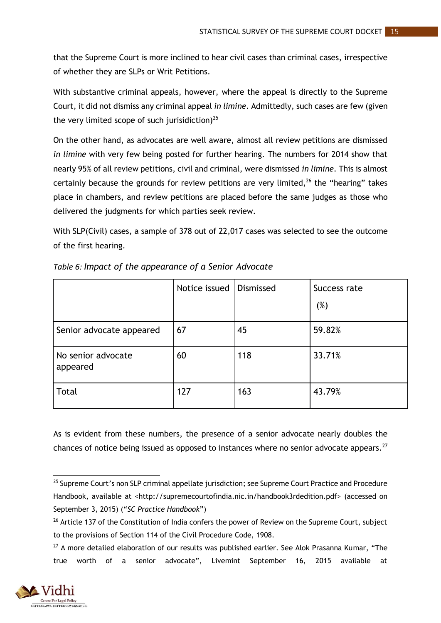that the Supreme Court is more inclined to hear civil cases than criminal cases, irrespective of whether they are SLPs or Writ Petitions.

With substantive criminal appeals, however, where the appeal is directly to the Supreme Court, it did not dismiss any criminal appeal *in limine*. Admittedly, such cases are few (given the very limited scope of such jurisidiction) $^{25}$ 

On the other hand, as advocates are well aware, almost all review petitions are dismissed *in limine* with very few being posted for further hearing. The numbers for 2014 show that nearly 95% of all review petitions, civil and criminal, were dismissed *in limine*. This is almost certainly because the grounds for review petitions are very limited, $^{26}$  the "hearing" takes place in chambers, and review petitions are placed before the same judges as those who delivered the judgments for which parties seek review.

With SLP(Civil) cases, a sample of 378 out of 22,017 cases was selected to see the outcome of the first hearing.

|                                | Notice issued | Dismissed | Success rate<br>(%) |
|--------------------------------|---------------|-----------|---------------------|
| Senior advocate appeared       | 67            | 45        | 59.82%              |
| No senior advocate<br>appeared | 60            | 118       | 33.71%              |
| Total                          | 127           | 163       | 43.79%              |

<span id="page-19-0"></span>*Table 6: Impact of the appearance of a Senior Advocate*

As is evident from these numbers, the presence of a senior advocate nearly doubles the chances of notice being issued as opposed to instances where no senior advocate appears.<sup>27</sup>

<sup>&</sup>lt;sup>27</sup> A more detailed elaboration of our results was published earlier. See Alok Prasanna Kumar, "The true worth of a senior advocate", Livemint September 16, 2015 available at



 $\overline{a}$ <sup>25</sup> Supreme Court's non SLP criminal appellate jurisdiction; see Supreme Court Practice and Procedure Handbook, available at <http://supremecourtofindia.nic.in/handbook3rdedition.pdf> (accessed on September 3, 2015) ("*SC Practice Handbook*")

<sup>&</sup>lt;sup>26</sup> Article 137 of the Constitution of India confers the power of Review on the Supreme Court, subject to the provisions of Section 114 of the Civil Procedure Code, 1908.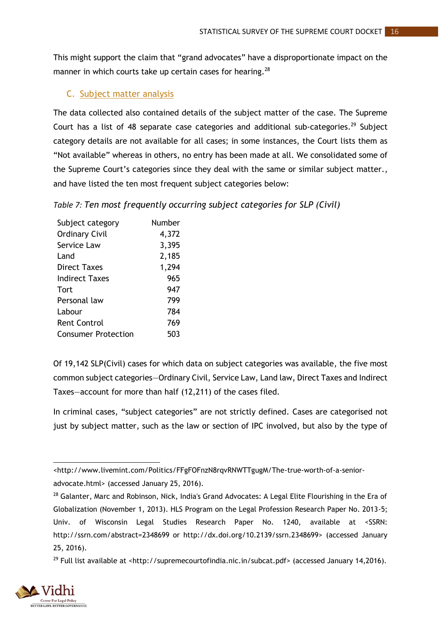This might support the claim that "grand advocates" have a disproportionate impact on the manner in which courts take up certain cases for hearing.<sup>28</sup>

# <span id="page-20-0"></span>C. Subject matter analysis

The data collected also contained details of the subject matter of the case. The Supreme Court has a list of 48 separate case categories and additional sub-categories.<sup>29</sup> Subject category details are not available for all cases; in some instances, the Court lists them as "Not available" whereas in others, no entry has been made at all. We consolidated some of the Supreme Court's categories since they deal with the same or similar subject matter., and have listed the ten most frequent subject categories below:

<span id="page-20-1"></span>*Table 7: Ten most frequently occurring subject categories for SLP (Civil)*

| Subject category           | Number |
|----------------------------|--------|
| <b>Ordinary Civil</b>      | 4,372  |
| Service Law                | 3,395  |
| Land                       | 2,185  |
| Direct Taxes               | 1,294  |
| <b>Indirect Taxes</b>      | 965    |
| Tort                       | 947    |
| Personal law               | 799    |
| Labour                     | 784    |
| <b>Rent Control</b>        | 769    |
| <b>Consumer Protection</b> | 503    |

Of 19,142 SLP(Civil) cases for which data on subject categories was available, the five most common subject categories—Ordinary Civil, Service Law, Land law, Direct Taxes and Indirect Taxes—account for more than half (12,211) of the cases filed.

In criminal cases, "subject categories" are not strictly defined. Cases are categorised not just by subject matter, such as the law or section of IPC involved, but also by the type of

<sup>&</sup>lt;sup>29</sup> Full list available at [<http://supremecourtofindia.nic.in/subcat.pdf>](http://supremecourtofindia.nic.in/subcat.pdf) (accessed January 14,2016).



**<sup>.</sup>** [<http://www.livemint.com/Politics/FFgFOFnzN8rqvRNWTTgugM/The-true-worth-of-a-senior](http://www.livemint.com/Politics/FFgFOFnzN8rqvRNWTTgugM/The-true-worth-of-a-senior-advocate.html)[advocate.html>](http://www.livemint.com/Politics/FFgFOFnzN8rqvRNWTTgugM/The-true-worth-of-a-senior-advocate.html) (accessed January 25, 2016).

<sup>&</sup>lt;sup>28</sup> Galanter, Marc and Robinson, Nick, India's Grand Advocates: A Legal Elite Flourishing in the Era of Globalization (November 1, 2013). HLS Program on the Legal Profession Research Paper No. 2013-5; Univ. of Wisconsin Legal Studies Research Paper No. 1240, available at <SSRN: http://ssrn.com/abstract=2348699 or [http://dx.doi.org/10.2139/ssrn.2348699>](http://dx.doi.org/10.2139/ssrn.2348699) (accessed January 25, 2016).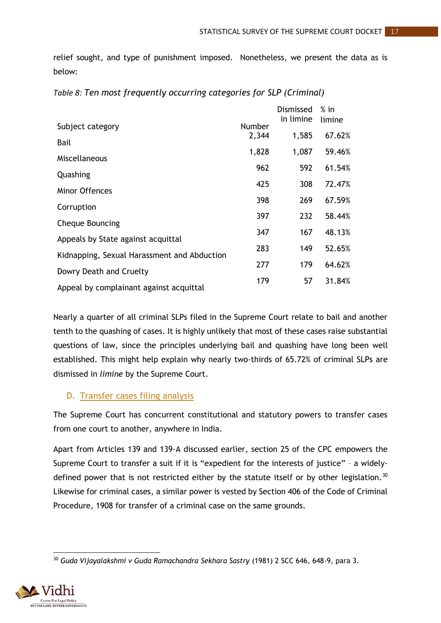relief sought, and type of punishment imposed. Nonetheless, we present the data as is below:

|                                             |        | Dismissed<br>in limine | $%$ in<br>limine |
|---------------------------------------------|--------|------------------------|------------------|
| Subject category                            | Number |                        |                  |
| Bail                                        | 2,344  | 1,585                  | 67.62%           |
| Miscellaneous                               | 1,828  | 1,087                  | 59.46%           |
| Quashing                                    | 962    | 592                    | 61.54%           |
| <b>Minor Offences</b>                       | 425    | 308                    | 72.47%           |
|                                             | 398    | 269                    | 67.59%           |
| Corruption                                  | 397    | 232                    | 58.44%           |
| <b>Cheque Bouncing</b>                      |        |                        |                  |
| Appeals by State against acquittal          | 347    | 167                    | 48.13%           |
| Kidnapping, Sexual Harassment and Abduction | 283    | 149                    | 52.65%           |
|                                             | 277    | 179                    | 64.62%           |
| Dowry Death and Cruelty                     | 179    | 57                     | 31.84%           |
| Appeal by complainant against acquittal     |        |                        |                  |

<span id="page-21-1"></span>

| Table 8: Ten most frequently occurring categories for SLP (Criminal) |  |  |
|----------------------------------------------------------------------|--|--|
|----------------------------------------------------------------------|--|--|

Nearly a quarter of all criminal SLPs filed in the Supreme Court relate to bail and another tenth to the quashing of cases. It is highly unlikely that most of these cases raise substantial questions of law, since the principles underlying bail and quashing have long been well established. This might help explain why nearly two-thirds of 65.72% of criminal SLPs are dismissed in *limine* by the Supreme Court.

# <span id="page-21-0"></span>D. Transfer cases filing analysis

The Supreme Court has concurrent constitutional and statutory powers to transfer cases from one court to another, anywhere in India.

Apart from Articles 139 and 139-A discussed earlier, section 25 of the CPC empowers the Supreme Court to transfer a suit if it is "expedient for the interests of justice" – a widelydefined power that is not restricted either by the statute itself or by other legislation.<sup>30</sup> Likewise for criminal cases, a similar power is vested by Section 406 of the Code of Criminal Procedure, 1908 for transfer of a criminal case on the same grounds.

**<sup>.</sup>** <sup>30</sup> *Guda Vijayalakshmi v Guda Ramachandra Sekhara Sastry* (1981) 2 SCC 646, 648-9, para 3.

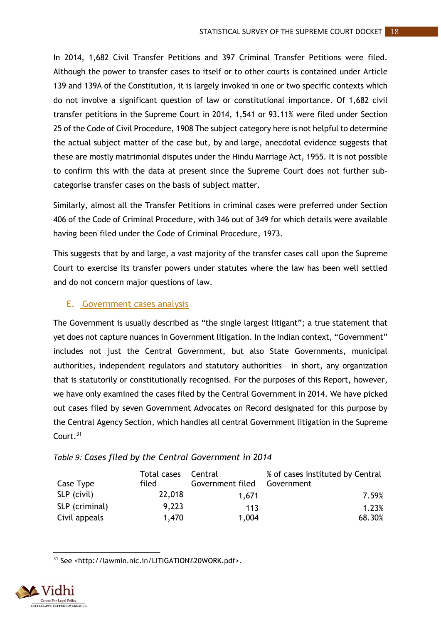In 2014, 1,682 Civil Transfer Petitions and 397 Criminal Transfer Petitions were filed. Although the power to transfer cases to itself or to other courts is contained under Article 139 and 139A of the Constitution, it is largely invoked in one or two specific contexts which do not involve a significant question of law or constitutional importance. Of 1,682 civil transfer petitions in the Supreme Court in 2014, 1,541 or 93.11% were filed under Section 25 of the Code of Civil Procedure, 1908 The subject category here is not helpful to determine the actual subject matter of the case but, by and large, anecdotal evidence suggests that these are mostly matrimonial disputes under the Hindu Marriage Act, 1955. It is not possible to confirm this with the data at present since the Supreme Court does not further subcategorise transfer cases on the basis of subject matter.

Similarly, almost all the Transfer Petitions in criminal cases were preferred under Section 406 of the Code of Criminal Procedure, with 346 out of 349 for which details were available having been filed under the Code of Criminal Procedure, 1973.

This suggests that by and large, a vast majority of the transfer cases call upon the Supreme Court to exercise its transfer powers under statutes where the law has been well settled and do not concern major questions of law.

# <span id="page-22-0"></span>E. Government cases analysis

The Government is usually described as "the single largest litigant"; a true statement that yet does not capture nuances in Government litigation. In the Indian context, "Government" includes not just the Central Government, but also State Governments, municipal authorities, independent regulators and statutory authorities— in short, any organization that is statutorily or constitutionally recognised. For the purposes of this Report, however, we have only examined the cases filed by the Central Government in 2014. We have picked out cases filed by seven Government Advocates on Record designated for this purpose by the Central Agency Section, which handles all central Government litigation in the Supreme Court.<sup>31</sup>

# <span id="page-22-1"></span>*Table 9: Cases filed by the Central Government in 2014*

|                | Total cases | Central          | % of cases instituted by Central |
|----------------|-------------|------------------|----------------------------------|
| Case Type      | filed       | Government filed | Government                       |
| SLP (civil)    | 22,018      | 1.671            | 7.59%                            |
| SLP (criminal) | 9.223       | 113              | 1.23%                            |
| Civil appeals  | 1.470       | 1,004            | 68.30%                           |

**.** <sup>31</sup> See <http://lawmin.nic.in/LITIGATION%20WORK.pdf>.

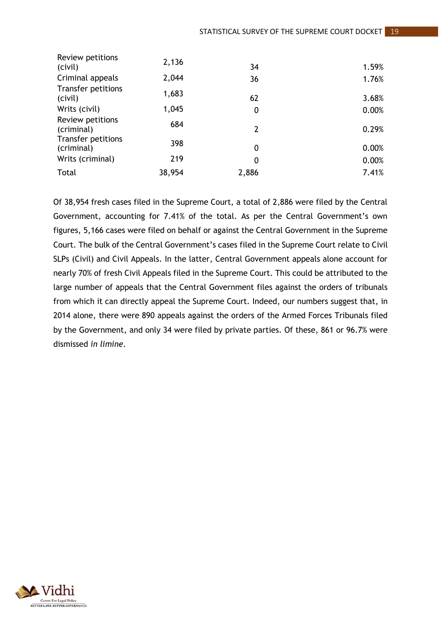| Review petitions<br>(civil)      | 2,136  | 34            | 1.59% |
|----------------------------------|--------|---------------|-------|
| Criminal appeals                 | 2,044  | 36            | 1.76% |
| Transfer petitions<br>(civil)    | 1,683  | 62            | 3.68% |
| Writs (civil)                    | 1,045  | 0             | 0.00% |
| Review petitions<br>(criminal)   | 684    | $\mathcal{P}$ | 0.29% |
| Transfer petitions<br>(criminal) | 398    | 0             | 0.00% |
| Writs (criminal)                 | 219    | 0             | 0.00% |
| Total                            | 38,954 | 2,886         | 7.41% |

Of 38,954 fresh cases filed in the Supreme Court, a total of 2,886 were filed by the Central Government, accounting for 7.41% of the total. As per the Central Government's own figures, 5,166 cases were filed on behalf or against the Central Government in the Supreme Court. The bulk of the Central Government's cases filed in the Supreme Court relate to Civil SLPs (Civil) and Civil Appeals. In the latter, Central Government appeals alone account for nearly 70% of fresh Civil Appeals filed in the Supreme Court. This could be attributed to the large number of appeals that the Central Government files against the orders of tribunals from which it can directly appeal the Supreme Court. Indeed, our numbers suggest that, in 2014 alone, there were 890 appeals against the orders of the Armed Forces Tribunals filed by the Government, and only 34 were filed by private parties. Of these, 861 or 96.7% were dismissed *in limine*.

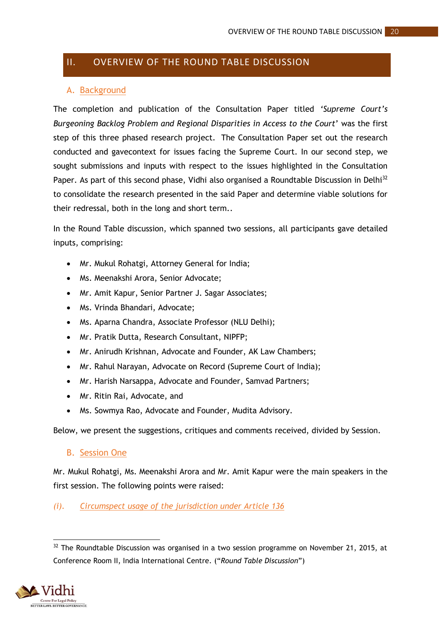# <span id="page-24-0"></span>II. OVERVIEW OF THE ROUND TABLE DISCUSSION

# <span id="page-24-1"></span>A. Background

The completion and publication of the Consultation Paper titled *'Supreme Court's Burgeoning Backlog Problem and Regional Disparities in Access to the Court*' was the first step of this three phased research project. The Consultation Paper set out the research conducted and gavecontext for issues facing the Supreme Court. In our second step, we sought submissions and inputs with respect to the issues highlighted in the Consultation Paper. As part of this second phase, Vidhi also organised a Roundtable Discussion in Delhi<sup>32</sup> to consolidate the research presented in the said Paper and determine viable solutions for their redressal, both in the long and short term..

In the Round Table discussion, which spanned two sessions, all participants gave detailed inputs, comprising:

- Mr. Mukul Rohatgi, Attorney General for India;
- Ms. Meenakshi Arora, Senior Advocate;
- Mr. Amit Kapur, Senior Partner J. Sagar Associates;
- Ms. Vrinda Bhandari, Advocate:
- Ms. Aparna Chandra, Associate Professor (NLU Delhi);
- Mr. Pratik Dutta, Research Consultant, NIPFP;
- Mr. Anirudh Krishnan, Advocate and Founder, AK Law Chambers;
- Mr. Rahul Narayan, Advocate on Record (Supreme Court of India);
- Mr. Harish Narsappa, Advocate and Founder, Samvad Partners;
- Mr. Ritin Rai, Advocate, and
- Ms. Sowmya Rao, Advocate and Founder, Mudita Advisory.

Below, we present the suggestions, critiques and comments received, divided by Session.

#### <span id="page-24-2"></span>B. Session One

Mr. Mukul Rohatgi, Ms. Meenakshi Arora and Mr. Amit Kapur were the main speakers in the first session. The following points were raised:

# *(i). Circumspect usage of the jurisdiction under Article 136*

**<sup>.</sup>**  $32$  The Roundtable Discussion was organised in a two session programme on November 21, 2015, at Conference Room II, India International Centre. ("*Round Table Discussion*")

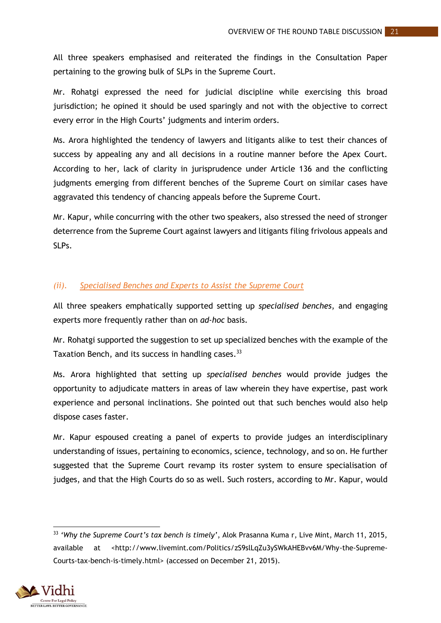All three speakers emphasised and reiterated the findings in the Consultation Paper pertaining to the growing bulk of SLPs in the Supreme Court.

Mr. Rohatgi expressed the need for judicial discipline while exercising this broad jurisdiction; he opined it should be used sparingly and not with the objective to correct every error in the High Courts' judgments and interim orders.

Ms. Arora highlighted the tendency of lawyers and litigants alike to test their chances of success by appealing any and all decisions in a routine manner before the Apex Court. According to her, lack of clarity in jurisprudence under Article 136 and the conflicting judgments emerging from different benches of the Supreme Court on similar cases have aggravated this tendency of chancing appeals before the Supreme Court.

Mr. Kapur, while concurring with the other two speakers, also stressed the need of stronger deterrence from the Supreme Court against lawyers and litigants filing frivolous appeals and SLPs.

#### *(ii). Specialised Benches and Experts to Assist the Supreme Court*

All three speakers emphatically supported setting up *specialised benches*, and engaging experts more frequently rather than on *ad-hoc* basis.

Mr. Rohatgi supported the suggestion to set up specialized benches with the example of the Taxation Bench, and its success in handling cases.<sup>33</sup>

Ms. Arora highlighted that setting up *specialised benches* would provide judges the opportunity to adjudicate matters in areas of law wherein they have expertise, past work experience and personal inclinations. She pointed out that such benches would also help dispose cases faster.

Mr. Kapur espoused creating a panel of experts to provide judges an interdisciplinary understanding of issues, pertaining to economics, science, technology, and so on. He further suggested that the Supreme Court revamp its roster system to ensure specialisation of judges, and that the High Courts do so as well. Such rosters, according to Mr. Kapur, would

<sup>33</sup> *'Why the Supreme Court's tax bench is timely'*, Alok Prasanna Kuma r, Live Mint, March 11, 2015, available at <http://www.livemint.com/Politics/zS9slLqZu3ySWkAHEBvv6M/Why-the-Supreme-Courts-tax-bench-is-timely.html> (accessed on December 21, 2015).



1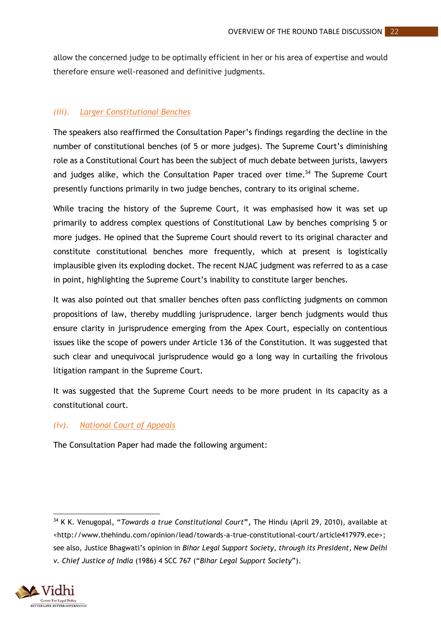allow the concerned judge to be optimally efficient in her or his area of expertise and would therefore ensure well-reasoned and definitive judgments.

### *(iii). Larger Constitutional Benches*

The speakers also reaffirmed the Consultation Paper's findings regarding the decline in the number of constitutional benches (of 5 or more judges). The Supreme Court's diminishing role as a Constitutional Court has been the subject of much debate between jurists, lawyers and judges alike, which the Consultation Paper traced over time.<sup>34</sup> The Supreme Court presently functions primarily in two judge benches, contrary to its original scheme.

While tracing the history of the Supreme Court, it was emphasised how it was set up primarily to address complex questions of Constitutional Law by benches comprising 5 or more judges. He opined that the Supreme Court should revert to its original character and constitute constitutional benches more frequently, which at present is logistically implausible given its exploding docket. The recent NJAC judgment was referred to as a case in point, highlighting the Supreme Court's inability to constitute larger benches.

It was also pointed out that smaller benches often pass conflicting judgments on common propositions of law, thereby muddling jurisprudence. larger bench judgments would thus ensure clarity in jurisprudence emerging from the Apex Court, especially on contentious issues like the scope of powers under Article 136 of the Constitution. It was suggested that such clear and unequivocal jurisprudence would go a long way in curtailing the frivolous litigation rampant in the Supreme Court.

It was suggested that the Supreme Court needs to be more prudent in its capacity as a constitutional court.

#### *(iv). National Court of Appeals*

The Consultation Paper had made the following argument:

<sup>34</sup> K K. Venugopal, "*Towards a true Constitutional Court***",** The Hindu (April 29, 2010), available at <http://www.thehindu.com/opinion/lead/towards-a-true-constitutional-court/article417979.ece>; see also, Justice Bhagwati's opinion in *Bihar Legal Support Society, through its President, New Delhi v. Chief Justice of India* (1986) 4 SCC 767 ("*Bihar Legal Support Society*").



**.**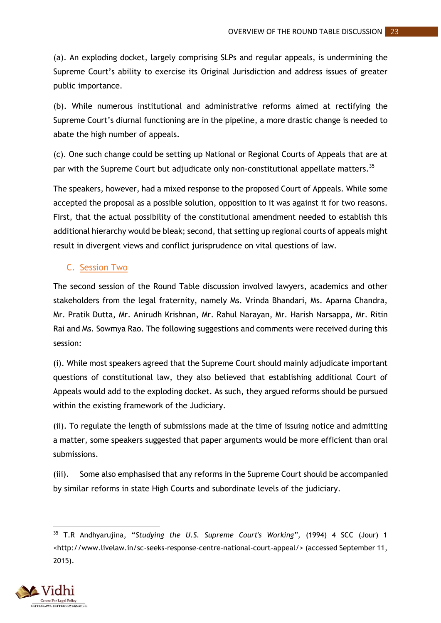(a). An exploding docket, largely comprising SLPs and regular appeals, is undermining the Supreme Court's ability to exercise its Original Jurisdiction and address issues of greater public importance.

(b). While numerous institutional and administrative reforms aimed at rectifying the Supreme Court's diurnal functioning are in the pipeline, a more drastic change is needed to abate the high number of appeals.

(c). One such change could be setting up National or Regional Courts of Appeals that are at par with the Supreme Court but adjudicate only non-constitutional appellate matters.<sup>35</sup>

The speakers, however, had a mixed response to the proposed Court of Appeals. While some accepted the proposal as a possible solution, opposition to it was against it for two reasons. First, that the actual possibility of the constitutional amendment needed to establish this additional hierarchy would be bleak; second, that setting up regional courts of appeals might result in divergent views and conflict jurisprudence on vital questions of law.

# <span id="page-27-0"></span>C. Session Two

The second session of the Round Table discussion involved lawyers, academics and other stakeholders from the legal fraternity, namely Ms. Vrinda Bhandari, Ms. Aparna Chandra, Mr. Pratik Dutta, Mr. Anirudh Krishnan, Mr. Rahul Narayan, Mr. Harish Narsappa, Mr. Ritin Rai and Ms. Sowmya Rao. The following suggestions and comments were received during this session:

(i). While most speakers agreed that the Supreme Court should mainly adjudicate important questions of constitutional law, they also believed that establishing additional Court of Appeals would add to the exploding docket. As such, they argued reforms should be pursued within the existing framework of the Judiciary.

(ii). To regulate the length of submissions made at the time of issuing notice and admitting a matter, some speakers suggested that paper arguments would be more efficient than oral submissions.

(iii). Some also emphasised that any reforms in the Supreme Court should be accompanied by similar reforms in state High Courts and subordinate levels of the judiciary.

<sup>35</sup> T.R Andhyarujina, "*Studying the U.S. Supreme Court's Working",* (1994) 4 SCC (Jour) 1 [<http://www.livelaw.in/sc-seeks-response-centre-national-court-appeal/>](http://www.livelaw.in/sc-seeks-response-centre-national-court-appeal/) (accessed September 11, 2015).



1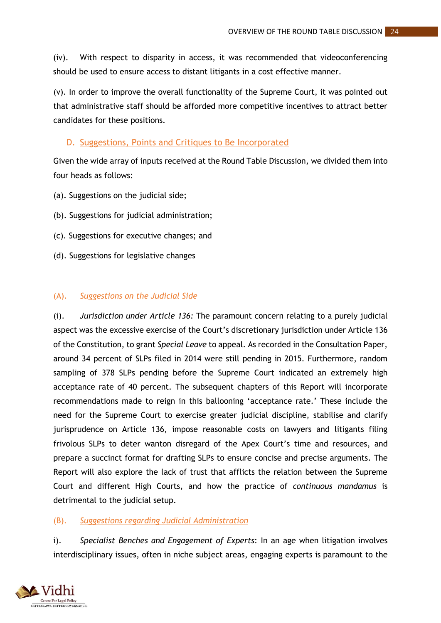(iv). With respect to disparity in access, it was recommended that videoconferencing should be used to ensure access to distant litigants in a cost effective manner.

(v). In order to improve the overall functionality of the Supreme Court, it was pointed out that administrative staff should be afforded more competitive incentives to attract better candidates for these positions.

### <span id="page-28-0"></span>D. Suggestions, Points and Critiques to Be Incorporated

Given the wide array of inputs received at the Round Table Discussion, we divided them into four heads as follows:

- (a). Suggestions on the judicial side;
- (b). Suggestions for judicial administration;
- (c). Suggestions for executive changes; and
- (d). Suggestions for legislative changes

#### (A). *Suggestions on the Judicial Side*

(i). *Jurisdiction under Article 136:* The paramount concern relating to a purely judicial aspect was the excessive exercise of the Court's discretionary jurisdiction under Article 136 of the Constitution, to grant *Special Leave* to appeal. As recorded in the Consultation Paper, around 34 percent of SLPs filed in 2014 were still pending in 2015. Furthermore, random sampling of 378 SLPs pending before the Supreme Court indicated an extremely high acceptance rate of 40 percent. The subsequent chapters of this Report will incorporate recommendations made to reign in this ballooning 'acceptance rate.' These include the need for the Supreme Court to exercise greater judicial discipline, stabilise and clarify jurisprudence on Article 136, impose reasonable costs on lawyers and litigants filing frivolous SLPs to deter wanton disregard of the Apex Court's time and resources, and prepare a succinct format for drafting SLPs to ensure concise and precise arguments. The Report will also explore the lack of trust that afflicts the relation between the Supreme Court and different High Courts, and how the practice of *continuous mandamus* is detrimental to the judicial setup.

# (B). *Suggestions regarding Judicial Administration*

i). *Specialist Benches and Engagement of Experts*: In an age when litigation involves interdisciplinary issues, often in niche subject areas, engaging experts is paramount to the

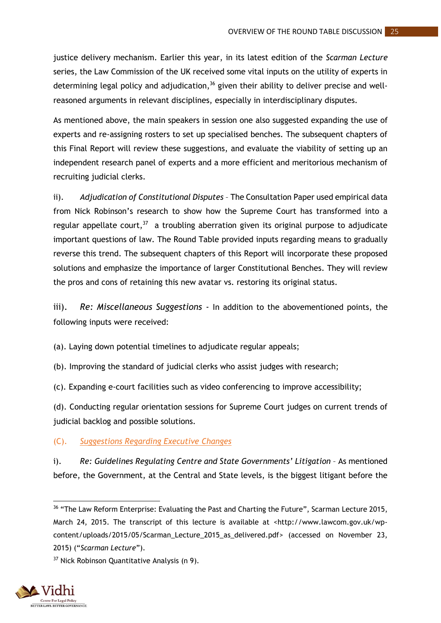justice delivery mechanism. Earlier this year, in its latest edition of the *Scarman Lecture*  series, the Law Commission of the UK received some vital inputs on the utility of experts in determining legal policy and adjudication,<sup>36</sup> given their ability to deliver precise and wellreasoned arguments in relevant disciplines, especially in interdisciplinary disputes.

As mentioned above, the main speakers in session one also suggested expanding the use of experts and re-assigning rosters to set up specialised benches. The subsequent chapters of this Final Report will review these suggestions, and evaluate the viability of setting up an independent research panel of experts and a more efficient and meritorious mechanism of recruiting judicial clerks.

ii). *Adjudication of Constitutional Disputes* – The Consultation Paper used empirical data from Nick Robinson's research to show how the Supreme Court has transformed into a regular appellate court,<sup>37</sup> a troubling aberration given its original purpose to adjudicate important questions of law. The Round Table provided inputs regarding means to gradually reverse this trend. The subsequent chapters of this Report will incorporate these proposed solutions and emphasize the importance of larger Constitutional Benches. They will review the pros and cons of retaining this new avatar vs. restoring its original status.

iii). *Re: Miscellaneous Suggestions* - In addition to the abovementioned points, the following inputs were received:

(a). Laying down potential timelines to adjudicate regular appeals;

(b). Improving the standard of judicial clerks who assist judges with research;

(c). Expanding e-court facilities such as video conferencing to improve accessibility;

(d). Conducting regular orientation sessions for Supreme Court judges on current trends of judicial backlog and possible solutions.

(C). *Suggestions Regarding Executive Changes*

i). Re: Guidelines Regulating Centre and State Governments' Litigation - As mentioned before, the Government, at the Central and State levels, is the biggest litigant before the

<sup>&</sup>lt;sup>37</sup> Nick Robinson Quantitative Analysis (n 9).



<sup>1</sup> <sup>36</sup> "The Law Reform Enterprise: Evaluating the Past and Charting the Future", Scarman Lecture 2015, March 24, 2015. The transcript of this lecture is available at <http://www.lawcom.gov.uk/wpcontent/uploads/2015/05/Scarman\_Lecture\_2015\_as\_delivered.pdf> (accessed on November 23, 2015) ("*Scarman Lecture*").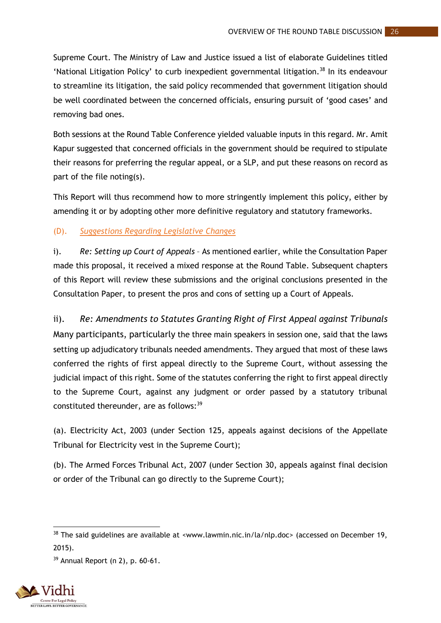Supreme Court. The Ministry of Law and Justice issued a list of elaborate Guidelines titled 'National Litigation Policy' to curb inexpedient governmental litigation.<sup>38</sup> In its endeavour to streamline its litigation, the said policy recommended that government litigation should be well coordinated between the concerned officials, ensuring pursuit of 'good cases' and removing bad ones.

Both sessions at the Round Table Conference yielded valuable inputs in this regard. Mr. Amit Kapur suggested that concerned officials in the government should be required to stipulate their reasons for preferring the regular appeal, or a SLP, and put these reasons on record as part of the file noting(s).

This Report will thus recommend how to more stringently implement this policy, either by amending it or by adopting other more definitive regulatory and statutory frameworks.

(D). *Suggestions Regarding Legislative Changes*

i). *Re: Setting up Court of Appeals* – As mentioned earlier, while the Consultation Paper made this proposal, it received a mixed response at the Round Table. Subsequent chapters of this Report will review these submissions and the original conclusions presented in the Consultation Paper, to present the pros and cons of setting up a Court of Appeals.

ii). *Re: Amendments to Statutes Granting Right of First Appeal against Tribunals*  Many participants, particularly the three main speakers in session one, said that the laws setting up adjudicatory tribunals needed amendments. They argued that most of these laws conferred the rights of first appeal directly to the Supreme Court, without assessing the judicial impact of this right. Some of the statutes conferring the right to first appeal directly to the Supreme Court, against any judgment or order passed by a statutory tribunal constituted thereunder, are as follows:<sup>39</sup>

(a). Electricity Act, 2003 (under Section 125, appeals against decisions of the Appellate Tribunal for Electricity vest in the Supreme Court);

(b). The Armed Forces Tribunal Act, 2007 (under Section 30, appeals against final decision or order of the Tribunal can go directly to the Supreme Court);

 $39$  Annual Report (n 2), p. 60-61.



1

 $38$  The said guidelines are available at <www.lawmin.nic.in/la/nlp.doc> (accessed on December 19, 2015).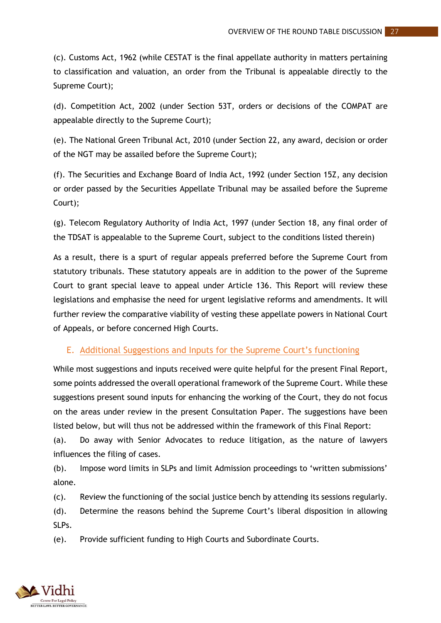(c). Customs Act, 1962 (while CESTAT is the final appellate authority in matters pertaining to classification and valuation, an order from the Tribunal is appealable directly to the Supreme Court);

(d). Competition Act, 2002 (under Section 53T, orders or decisions of the COMPAT are appealable directly to the Supreme Court);

(e). The National Green Tribunal Act, 2010 (under Section 22, any award, decision or order of the NGT may be assailed before the Supreme Court);

(f). The Securities and Exchange Board of India Act, 1992 (under Section 15Z, any decision or order passed by the Securities Appellate Tribunal may be assailed before the Supreme Court);

(g). Telecom Regulatory Authority of India Act, 1997 (under Section 18, any final order of the TDSAT is appealable to the Supreme Court, subject to the conditions listed therein)

As a result, there is a spurt of regular appeals preferred before the Supreme Court from statutory tribunals. These statutory appeals are in addition to the power of the Supreme Court to grant special leave to appeal under Article 136. This Report will review these legislations and emphasise the need for urgent legislative reforms and amendments. It will further review the comparative viability of vesting these appellate powers in National Court of Appeals, or before concerned High Courts.

#### <span id="page-31-0"></span>E. Additional Suggestions and Inputs for the Supreme Court's functioning

While most suggestions and inputs received were quite helpful for the present Final Report, some points addressed the overall operational framework of the Supreme Court. While these suggestions present sound inputs for enhancing the working of the Court, they do not focus on the areas under review in the present Consultation Paper. The suggestions have been listed below, but will thus not be addressed within the framework of this Final Report:

(a). Do away with Senior Advocates to reduce litigation, as the nature of lawyers influences the filing of cases.

(b). Impose word limits in SLPs and limit Admission proceedings to 'written submissions' alone.

(c). Review the functioning of the social justice bench by attending its sessions regularly.

(d). Determine the reasons behind the Supreme Court's liberal disposition in allowing SLPs.

(e). Provide sufficient funding to High Courts and Subordinate Courts.

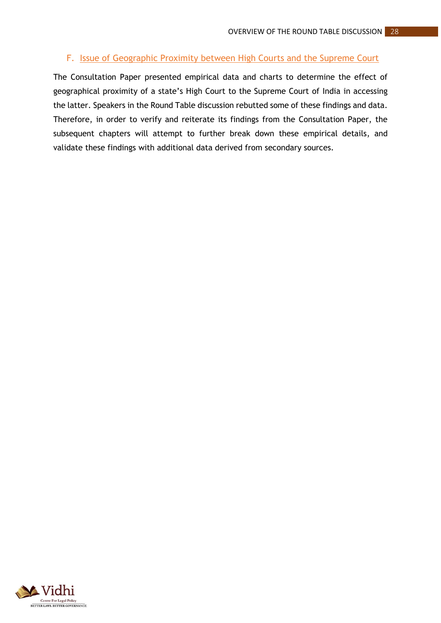# <span id="page-32-0"></span>F. Issue of Geographic Proximity between High Courts and the Supreme Court

The Consultation Paper presented empirical data and charts to determine the effect of geographical proximity of a state's High Court to the Supreme Court of India in accessing the latter. Speakers in the Round Table discussion rebutted some of these findings and data. Therefore, in order to verify and reiterate its findings from the Consultation Paper, the subsequent chapters will attempt to further break down these empirical details, and validate these findings with additional data derived from secondary sources.

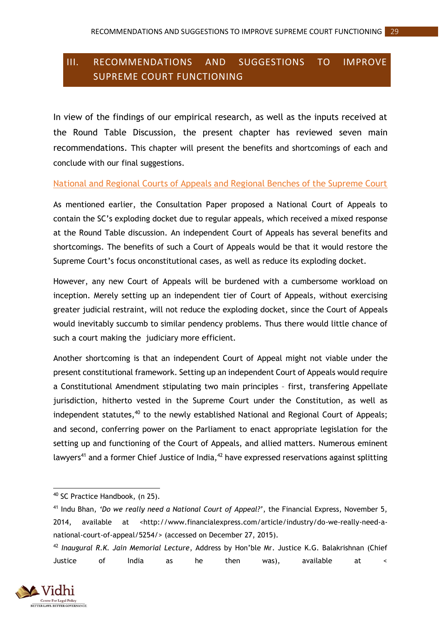# <span id="page-33-0"></span>III. RECOMMENDATIONS AND SUGGESTIONS TO IMPROVE SUPREME COURT FUNCTIONING

In view of the findings of our empirical research, as well as the inputs received at the Round Table Discussion, the present chapter has reviewed seven main recommendations. This chapter will present the benefits and shortcomings of each and conclude with our final suggestions.

#### <span id="page-33-1"></span>National and Regional Courts of Appeals and Regional Benches of the Supreme Court

As mentioned earlier, the Consultation Paper proposed a National Court of Appeals to contain the SC's exploding docket due to regular appeals, which received a mixed response at the Round Table discussion. An independent Court of Appeals has several benefits and shortcomings. The benefits of such a Court of Appeals would be that it would restore the Supreme Court's focus onconstitutional cases, as well as reduce its exploding docket.

However, any new Court of Appeals will be burdened with a cumbersome workload on inception. Merely setting up an independent tier of Court of Appeals, without exercising greater judicial restraint, will not reduce the exploding docket, since the Court of Appeals would inevitably succumb to similar pendency problems. Thus there would little chance of such a court making the judiciary more efficient.

Another shortcoming is that an independent Court of Appeal might not viable under the present constitutional framework. Setting up an independent Court of Appeals would require a Constitutional Amendment stipulating two main principles – first, transfering Appellate jurisdiction, hitherto vested in the Supreme Court under the Constitution, as well as independent statutes,<sup>40</sup> to the newly established National and Regional Court of Appeals; and second, conferring power on the Parliament to enact appropriate legislation for the setting up and functioning of the Court of Appeals, and allied matters. Numerous eminent lawyers<sup>41</sup> and a former Chief Justice of India,  $42$  have expressed reservations against splitting

<sup>42</sup> *Inaugural R.K. Jain Memorial Lecture*, Address by Hon'ble Mr. Justice K.G. Balakrishnan (Chief Justice of India as he then was), available at <



**.** 

<sup>40</sup> SC Practice Handbook, (n 25).

<sup>41</sup> Indu Bhan, *'Do we really need a National Court of Appeal?'*, the Financial Express, November 5, 2014, available at <http://www.financialexpress.com/article/industry/do-we-really-need-anational-court-of-appeal/5254/> (accessed on December 27, 2015).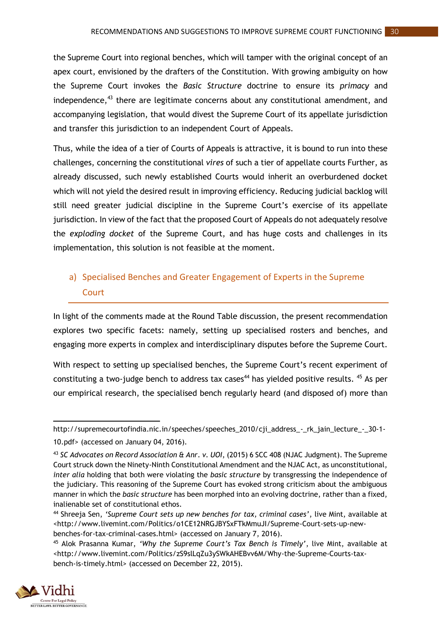the Supreme Court into regional benches, which will tamper with the original concept of an apex court, envisioned by the drafters of the Constitution. With growing ambiguity on how the Supreme Court invokes the *Basic Structure* doctrine to ensure its *primacy* and independence, $43$  there are legitimate concerns about any constitutional amendment, and accompanying legislation, that would divest the Supreme Court of its appellate jurisdiction and transfer this jurisdiction to an independent Court of Appeals.

Thus, while the idea of a tier of Courts of Appeals is attractive, it is bound to run into these challenges, concerning the constitutional *vires* of such a tier of appellate courts Further, as already discussed, such newly established Courts would inherit an overburdened docket which will not yield the desired result in improving efficiency. Reducing judicial backlog will still need greater judicial discipline in the Supreme Court's exercise of its appellate jurisdiction. In view of the fact that the proposed Court of Appeals do not adequately resolve the *exploding docket* of the Supreme Court, and has huge costs and challenges in its implementation, this solution is not feasible at the moment.

# <span id="page-34-0"></span>a) Specialised Benches and Greater Engagement of Experts in the Supreme **Court**

In light of the comments made at the Round Table discussion, the present recommendation explores two specific facets: namely, setting up specialised rosters and benches, and engaging more experts in complex and interdisciplinary disputes before the Supreme Court.

With respect to setting up specialised benches, the Supreme Court's recent experiment of constituting a two-judge bench to address tax cases<sup>44</sup> has yielded positive results.  $45$  As per our empirical research, the specialised bench regularly heard (and disposed of) more than

<sup>45</sup> Alok Prasanna Kumar, *'Why the Supreme Court's Tax Bench is Timely'*, live Mint, available at [<http://www.livemint.com/Politics/zS9slLqZu3ySWkAHEBvv6M/Why-the-Supreme-Courts-tax](http://www.livemint.com/Politics/zS9slLqZu3ySWkAHEBvv6M/Why-the-Supreme-Courts-tax-bench-is-timely.html)[bench-is-timely.html>](http://www.livemint.com/Politics/zS9slLqZu3ySWkAHEBvv6M/Why-the-Supreme-Courts-tax-bench-is-timely.html) (accessed on December 22, 2015).



<sup>1</sup> http://supremecourtofindia.nic.in/speeches/speeches\_2010/cji\_address\_-\_rk\_jain\_lecture\_-\_30-1- 10.pdf> (accessed on January 04, 2016).

<sup>43</sup> *SC Advocates on Record Association & Anr. v. UOI*, (2015) 6 SCC 408 (NJAC Judgment). The Supreme Court struck down the Ninety-Ninth Constitutional Amendment and the NJAC Act, as unconstitutional, *inter alia* holding that both were violating the *basic structure* by transgressing the independence of the judiciary. This reasoning of the Supreme Court has evoked strong criticism about the ambiguous manner in which the *basic structure* has been morphed into an evolving doctrine, rather than a fixed, inalienable set of constitutional ethos.

<sup>44</sup> Shreeja Sen, *'Supreme Court sets up new benches for tax, criminal cases'*, live Mint, available at [<http://www.livemint.com/Politics/o1CE12NRGJBYSxFTkMmuJI/Supreme-Court-sets-up-new](http://www.livemint.com/Politics/o1CE12NRGJBYSxFTkMmuJI/Supreme-Court-sets-up-new-benches-for-tax-criminal-cases.html)[benches-for-tax-criminal-cases.html>](http://www.livemint.com/Politics/o1CE12NRGJBYSxFTkMmuJI/Supreme-Court-sets-up-new-benches-for-tax-criminal-cases.html) (accessed on January 7, 2016).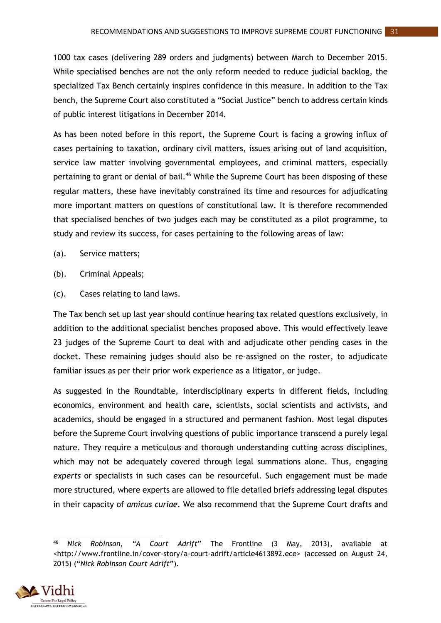1000 tax cases (delivering 289 orders and judgments) between March to December 2015. While specialised benches are not the only reform needed to reduce judicial backlog, the specialized Tax Bench certainly inspires confidence in this measure. In addition to the Tax bench, the Supreme Court also constituted a "Social Justice" bench to address certain kinds of public interest litigations in December 2014.

As has been noted before in this report, the Supreme Court is facing a growing influx of cases pertaining to taxation, ordinary civil matters, issues arising out of land acquisition, service law matter involving governmental employees, and criminal matters, especially pertaining to grant or denial of bail.<sup>46</sup> While the Supreme Court has been disposing of these regular matters, these have inevitably constrained its time and resources for adjudicating more important matters on questions of constitutional law. It is therefore recommended that specialised benches of two judges each may be constituted as a pilot programme, to study and review its success, for cases pertaining to the following areas of law:

- (a). Service matters;
- (b). Criminal Appeals;
- (c). Cases relating to land laws.

The Tax bench set up last year should continue hearing tax related questions exclusively, in addition to the additional specialist benches proposed above. This would effectively leave 23 judges of the Supreme Court to deal with and adjudicate other pending cases in the docket. These remaining judges should also be re-assigned on the roster, to adjudicate familiar issues as per their prior work experience as a litigator, or judge.

As suggested in the Roundtable, interdisciplinary experts in different fields, including economics, environment and health care, scientists, social scientists and activists, and academics, should be engaged in a structured and permanent fashion. Most legal disputes before the Supreme Court involving questions of public importance transcend a purely legal nature. They require a meticulous and thorough understanding cutting across disciplines, which may not be adequately covered through legal summations alone. Thus, engaging *experts* or specialists in such cases can be resourceful. Such engagement must be made more structured, where experts are allowed to file detailed briefs addressing legal disputes in their capacity of *amicus curiae*. We also recommend that the Supreme Court drafts and

**<sup>.</sup>** <sup>46</sup> *Nick Robinson, "A Court Adrift*" The Frontline (3 May, 2013), available at [<http://www.frontline.in/cover-story/a-court-adrift/article4613892.ece>](http://www.frontline.in/cover-story/a-court-adrift/article4613892.ece) (accessed on August 24, 2015) ("*Nick Robinson Court Adrift*").

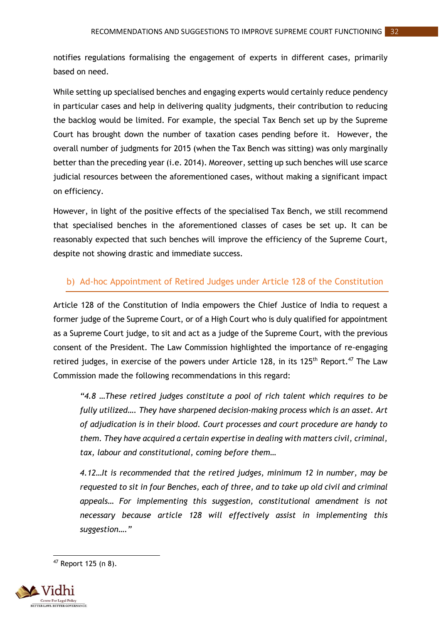notifies regulations formalising the engagement of experts in different cases, primarily based on need.

While setting up specialised benches and engaging experts would certainly reduce pendency in particular cases and help in delivering quality judgments, their contribution to reducing the backlog would be limited. For example, the special Tax Bench set up by the Supreme Court has brought down the number of taxation cases pending before it. However, the overall number of judgments for 2015 (when the Tax Bench was sitting) was only marginally better than the preceding year (i.e. 2014). Moreover, setting up such benches will use scarce judicial resources between the aforementioned cases, without making a significant impact on efficiency.

However, in light of the positive effects of the specialised Tax Bench, we still recommend that specialised benches in the aforementioned classes of cases be set up. It can be reasonably expected that such benches will improve the efficiency of the Supreme Court, despite not showing drastic and immediate success.

# <span id="page-36-0"></span>b) Ad-hoc Appointment of Retired Judges under Article 128 of the Constitution

Article 128 of the Constitution of India empowers the Chief Justice of India to request a former judge of the Supreme Court, or of a High Court who is duly qualified for appointment as a Supreme Court judge, to sit and act as a judge of the Supreme Court, with the previous consent of the President. The Law Commission highlighted the importance of re-engaging retired judges, in exercise of the powers under Article 128, in its 125<sup>th</sup> Report.<sup>47</sup> The Law Commission made the following recommendations in this regard:

*"4.8 …These retired judges constitute a pool of rich talent which requires to be fully utilized…. They have sharpened decision-making process which is an asset. Art of adjudication is in their blood. Court processes and court procedure are handy to them. They have acquired a certain expertise in dealing with matters civil, criminal, tax, labour and constitutional, coming before them…*

*4.12…It is recommended that the retired judges, minimum 12 in number, may be requested to sit in four Benches, each of three, and to take up old civil and criminal appeals… For implementing this suggestion, constitutional amendment is not necessary because article 128 will effectively assist in implementing this suggestion…."*

**<sup>.</sup>** <sup>47</sup> Report 125 (n 8).

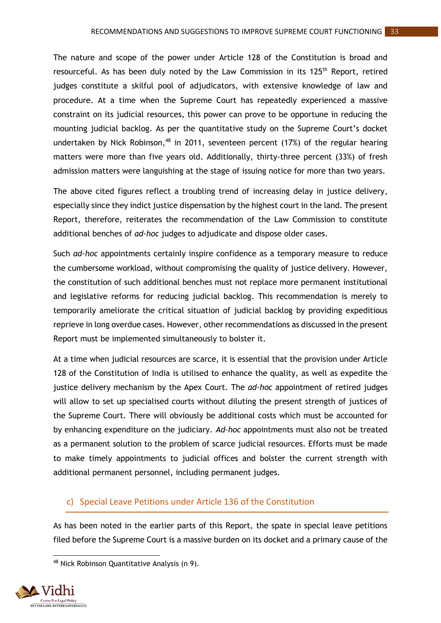The nature and scope of the power under Article 128 of the Constitution is broad and resourceful. As has been duly noted by the Law Commission in its 125<sup>th</sup> Report, retired judges constitute a skilful pool of adjudicators, with extensive knowledge of law and procedure. At a time when the Supreme Court has repeatedly experienced a massive constraint on its judicial resources, this power can prove to be opportune in reducing the mounting judicial backlog. As per the quantitative study on the Supreme Court's docket undertaken by Nick Robinson,<sup>48</sup> in 2011, seventeen percent (17%) of the regular hearing matters were more than five years old. Additionally, thirty-three percent (33%) of fresh admission matters were languishing at the stage of issuing notice for more than two years.

The above cited figures reflect a troubling trend of increasing delay in justice delivery, especially since they indict justice dispensation by the highest court in the land. The present Report, therefore, reiterates the recommendation of the Law Commission to constitute additional benches of *ad-hoc* judges to adjudicate and dispose older cases.

Such *ad-hoc* appointments certainly inspire confidence as a temporary measure to reduce the cumbersome workload, without compromising the quality of justice delivery. However, the constitution of such additional benches must not replace more permanent institutional and legislative reforms for reducing judicial backlog. This recommendation is merely to temporarily ameliorate the critical situation of judicial backlog by providing expeditious reprieve in long overdue cases. However, other recommendations as discussed in the present Report must be implemented simultaneously to bolster it.

At a time when judicial resources are scarce, it is essential that the provision under Article 128 of the Constitution of India is utilised to enhance the quality, as well as expedite the justice delivery mechanism by the Apex Court. The *ad-hoc* appointment of retired judges will allow to set up specialised courts without diluting the present strength of justices of the Supreme Court. There will obviously be additional costs which must be accounted for by enhancing expenditure on the judiciary. *Ad-hoc* appointments must also not be treated as a permanent solution to the problem of scarce judicial resources. Efforts must be made to make timely appointments to judicial offices and bolster the current strength with additional permanent personnel, including permanent judges.

#### <span id="page-37-0"></span>c) Special Leave Petitions under Article 136 of the Constitution

As has been noted in the earlier parts of this Report, the spate in special leave petitions filed before the Supreme Court is a massive burden on its docket and a primary cause of the

<sup>48</sup> Nick Robinson Quantitative Analysis (n 9).



**.**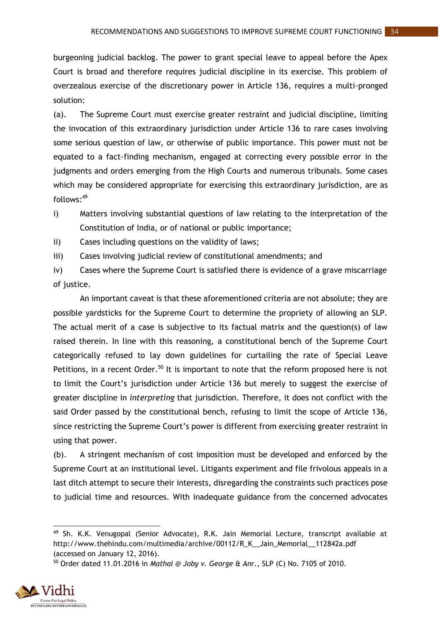burgeoning judicial backlog. The power to grant special leave to appeal before the Apex Court is broad and therefore requires judicial discipline in its exercise. This problem of overzealous exercise of the discretionary power in Article 136, requires a multi-pronged solution:

(a). The Supreme Court must exercise greater restraint and judicial discipline, limiting the invocation of this extraordinary jurisdiction under Article 136 to rare cases involving some serious question of law, or otherwise of public importance. This power must not be equated to a fact-finding mechanism, engaged at correcting every possible error in the judgments and orders emerging from the High Courts and numerous tribunals. Some cases which may be considered appropriate for exercising this extraordinary jurisdiction, are as  $follows: <sup>49</sup>$ 

- i) Matters involving substantial questions of law relating to the interpretation of the Constitution of India, or of national or public importance;
- ii) Cases including questions on the validity of laws;
- iii) Cases involving judicial review of constitutional amendments; and
- iv) Cases where the Supreme Court is satisfied there is evidence of a grave miscarriage of justice.

An important caveat is that these aforementioned criteria are not absolute; they are possible yardsticks for the Supreme Court to determine the propriety of allowing an SLP. The actual merit of a case is subjective to its factual matrix and the question(s) of law raised therein. In line with this reasoning, a constitutional bench of the Supreme Court categorically refused to lay down guidelines for curtailing the rate of Special Leave Petitions, in a recent Order.<sup>50</sup> It is important to note that the reform proposed here is not to limit the Court's jurisdiction under Article 136 but merely to suggest the exercise of greater discipline in *interpreting* that jurisdiction. Therefore, it does not conflict with the said Order passed by the constitutional bench, refusing to limit the scope of Article 136, since restricting the Supreme Court's power is different from exercising greater restraint in using that power.

(b). A stringent mechanism of cost imposition must be developed and enforced by the Supreme Court at an institutional level. Litigants experiment and file frivolous appeals in a last ditch attempt to secure their interests, disregarding the constraints such practices pose to judicial time and resources. With inadequate guidance from the concerned advocates

<sup>50</sup> Order dated 11.01.2016 in *Mathai @ Joby v. George & Anr.*, SLP (C) No. 7105 of 2010.



<sup>1</sup> <sup>49</sup> Sh. K.K. Venugopal (Senior Advocate), R.K. Jain Memorial Lecture, transcript available at http://www.thehindu.com/multimedia/archive/00112/R\_K\_\_Jain\_Memorial\_\_112842a.pdf (accessed on January 12, 2016).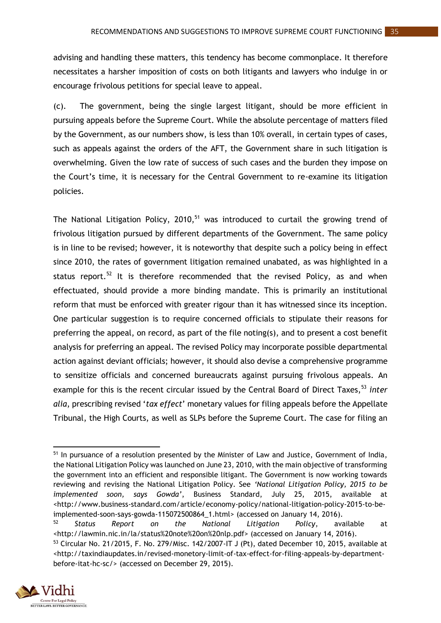advising and handling these matters, this tendency has become commonplace. It therefore necessitates a harsher imposition of costs on both litigants and lawyers who indulge in or encourage frivolous petitions for special leave to appeal.

(c). The government, being the single largest litigant, should be more efficient in pursuing appeals before the Supreme Court. While the absolute percentage of matters filed by the Government, as our numbers show, is less than 10% overall, in certain types of cases, such as appeals against the orders of the AFT, the Government share in such litigation is overwhelming. Given the low rate of success of such cases and the burden they impose on the Court's time, it is necessary for the Central Government to re-examine its litigation policies.

The National Litigation Policy, 2010,<sup>51</sup> was introduced to curtail the growing trend of frivolous litigation pursued by different departments of the Government. The same policy is in line to be revised; however, it is noteworthy that despite such a policy being in effect since 2010, the rates of government litigation remained unabated, as was highlighted in a status report. $52$  It is therefore recommended that the revised Policy, as and when effectuated, should provide a more binding mandate. This is primarily an institutional reform that must be enforced with greater rigour than it has witnessed since its inception. One particular suggestion is to require concerned officials to stipulate their reasons for preferring the appeal, on record, as part of the file noting(s), and to present a cost benefit analysis for preferring an appeal. The revised Policy may incorporate possible departmental action against deviant officials; however, it should also devise a comprehensive programme to sensitize officials and concerned bureaucrats against pursuing frivolous appeals. An example for this is the recent circular issued by the Central Board of Direct Taxes,<sup>53</sup> *inter alia*, prescribing revised '*tax effect*' monetary values for filing appeals before the Appellate Tribunal, the High Courts, as well as SLPs before the Supreme Court. The case for filing an

<sup>53</sup> Circular No. 21/2015, F. No. 279/Misc. 142/2007-IT J (Pt), dated December 10, 2015, available at [<http://taxindiaupdates.in/revised-monetory-limit-of-tax-effect-for-filing-appeals-by-department](http://taxindiaupdates.in/revised-monetory-limit-of-tax-effect-for-filing-appeals-by-department-before-itat-hc-sc/)[before-itat-hc-sc/>](http://taxindiaupdates.in/revised-monetory-limit-of-tax-effect-for-filing-appeals-by-department-before-itat-hc-sc/) (accessed on December 29, 2015).



**<sup>.</sup>** <sup>51</sup> In pursuance of a resolution presented by the Minister of Law and Justice, Government of India, the National Litigation Policy was launched on June 23, 2010, with the main objective of transforming the government into an efficient and responsible litigant. The Government is now working towards reviewing and revising the National Litigation Policy. See *'National Litigation Policy, 2015 to be implemented soon, says Gowda'*, Business Standard, July 25, 2015, available at [<http://www.business-standard.com/article/economy-policy/national-litigation-policy-2015-to-be](http://www.business-standard.com/article/economy-policy/national-litigation-policy-2015-to-be-implemented-soon-says-gowda-115072500864_1.html)[implemented-soon-says-gowda-115072500864\\_1.html>](http://www.business-standard.com/article/economy-policy/national-litigation-policy-2015-to-be-implemented-soon-says-gowda-115072500864_1.html) (accessed on January 14, 2016).

<sup>52</sup> *Status Report on the National Litigation Policy*, available at [<http://lawmin.nic.in/la/status%20note%20on%20nlp.pdf>](http://lawmin.nic.in/la/status%20note%20on%20nlp.pdf) (accessed on January 14, 2016).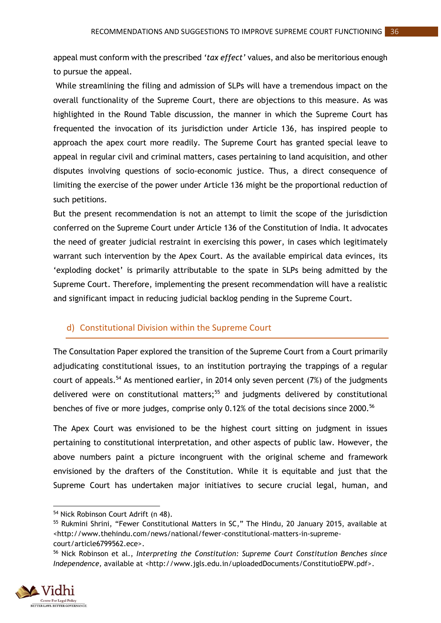appeal must conform with the prescribed *'tax effect'* values, and also be meritorious enough to pursue the appeal.

While streamlining the filing and admission of SLPs will have a tremendous impact on the overall functionality of the Supreme Court, there are objections to this measure. As was highlighted in the Round Table discussion, the manner in which the Supreme Court has frequented the invocation of its jurisdiction under Article 136, has inspired people to approach the apex court more readily. The Supreme Court has granted special leave to appeal in regular civil and criminal matters, cases pertaining to land acquisition, and other disputes involving questions of socio-economic justice. Thus, a direct consequence of limiting the exercise of the power under Article 136 might be the proportional reduction of such petitions.

But the present recommendation is not an attempt to limit the scope of the jurisdiction conferred on the Supreme Court under Article 136 of the Constitution of India. It advocates the need of greater judicial restraint in exercising this power, in cases which legitimately warrant such intervention by the Apex Court. As the available empirical data evinces, its 'exploding docket' is primarily attributable to the spate in SLPs being admitted by the Supreme Court. Therefore, implementing the present recommendation will have a realistic and significant impact in reducing judicial backlog pending in the Supreme Court.

#### <span id="page-40-0"></span>d) Constitutional Division within the Supreme Court

The Consultation Paper explored the transition of the Supreme Court from a Court primarily adjudicating constitutional issues, to an institution portraying the trappings of a regular court of appeals.<sup>54</sup> As mentioned earlier, in 2014 only seven percent  $(7%)$  of the judgments delivered were on constitutional matters;<sup>55</sup> and judgments delivered by constitutional benches of five or more judges, comprise only 0.12% of the total decisions since 2000.<sup>56</sup>

The Apex Court was envisioned to be the highest court sitting on judgment in issues pertaining to constitutional interpretation, and other aspects of public law. However, the above numbers paint a picture incongruent with the original scheme and framework envisioned by the drafters of the Constitution. While it is equitable and just that the Supreme Court has undertaken major initiatives to secure crucial legal, human, and

<sup>56</sup> Nick Robinson et al., *Interpreting the Constitution: Supreme Court Constitution Benches since Independence, available at [<http://www.jgls.edu.in/uploadedDocuments/ConstitutioEPW.pdf>](http://www.jgls.edu.in/uploadedDocuments/ConstitutioEPW.pdf).* 



**.** 

<sup>54</sup> Nick Robinson Court Adrift (n 48).

<sup>55</sup> Rukmini Shrini, "Fewer Constitutional Matters in SC," The Hindu, 20 January 2015, available at <http://www.thehindu.com/news/national/fewer-constitutional-matters-in-supremecourt/article6799562.ece>.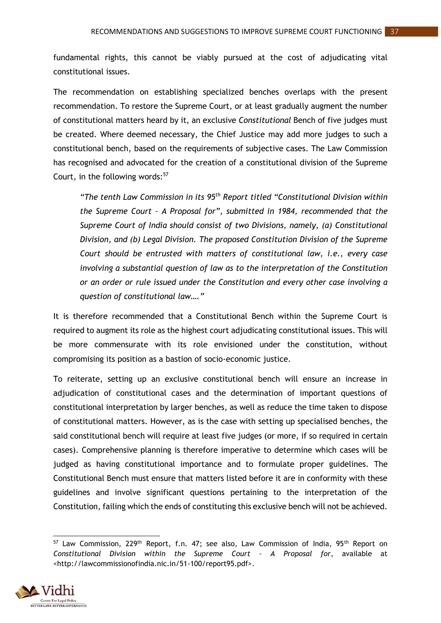fundamental rights, this cannot be viably pursued at the cost of adjudicating vital constitutional issues.

The recommendation on establishing specialized benches overlaps with the present recommendation. To restore the Supreme Court, or at least gradually augment the number of constitutional matters heard by it, an exclusive *Constitutional* Bench of five judges must be created. Where deemed necessary, the Chief Justice may add more judges to such a constitutional bench, based on the requirements of subjective cases. The Law Commission has recognised and advocated for the creation of a constitutional division of the Supreme Court, in the following words: $57$ 

*"The tenth Law Commission in its 95th Report titled "Constitutional Division within the Supreme Court – A Proposal for", submitted in 1984, recommended that the Supreme Court of India should consist of two Divisions, namely, (a) Constitutional Division, and (b) Legal Division. The proposed Constitution Division of the Supreme Court should be entrusted with matters of constitutional law, i.e., every case involving a substantial question of law as to the interpretation of the Constitution or an order or rule issued under the Constitution and every other case involving a question of constitutional law…."*

It is therefore recommended that a Constitutional Bench within the Supreme Court is required to augment its role as the highest court adjudicating constitutional issues. This will be more commensurate with its role envisioned under the constitution, without compromising its position as a bastion of socio-economic justice.

To reiterate, setting up an exclusive constitutional bench will ensure an increase in adjudication of constitutional cases and the determination of important questions of constitutional interpretation by larger benches, as well as reduce the time taken to dispose of constitutional matters. However, as is the case with setting up specialised benches, the said constitutional bench will require at least five judges (or more, if so required in certain cases). Comprehensive planning is therefore imperative to determine which cases will be judged as having constitutional importance and to formulate proper guidelines. The Constitutional Bench must ensure that matters listed before it are in conformity with these guidelines and involve significant questions pertaining to the interpretation of the Constitution, failing which the ends of constituting this exclusive bench will not be achieved.

**<sup>.</sup>** <sup>57</sup> Law Commission, 229<sup>th</sup> Report, f.n. 47; see also, Law Commission of India, 95<sup>th</sup> Report on *Constitutional Division within the Supreme Court – A Proposal for*, available at <http://lawcommissionofindia.nic.in/51-100/report95.pdf>.

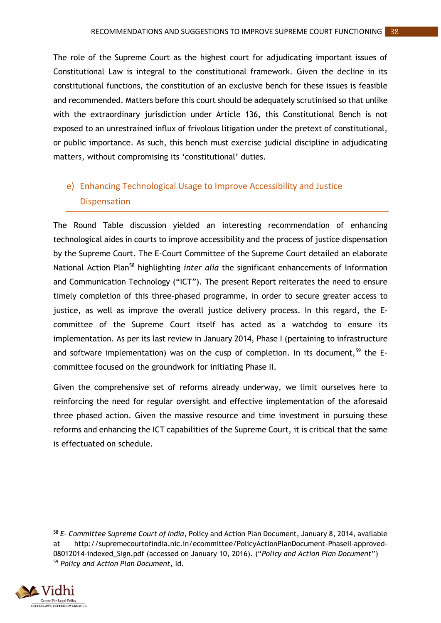The role of the Supreme Court as the highest court for adjudicating important issues of Constitutional Law is integral to the constitutional framework. Given the decline in its constitutional functions, the constitution of an exclusive bench for these issues is feasible and recommended. Matters before this court should be adequately scrutinised so that unlike with the extraordinary jurisdiction under Article 136, this Constitutional Bench is not exposed to an unrestrained influx of frivolous litigation under the pretext of constitutional, or public importance. As such, this bench must exercise judicial discipline in adjudicating matters, without compromising its 'constitutional' duties.

# <span id="page-42-0"></span>e) Enhancing Technological Usage to Improve Accessibility and Justice Dispensation

The Round Table discussion yielded an interesting recommendation of enhancing technological aides in courts to improve accessibility and the process of justice dispensation by the Supreme Court. The E-Court Committee of the Supreme Court detailed an elaborate National Action Plan<sup>58</sup> highlighting *inter alia* the significant enhancements of Information and Communication Technology ("ICT"). The present Report reiterates the need to ensure timely completion of this three-phased programme, in order to secure greater access to justice, as well as improve the overall justice delivery process. In this regard, the Ecommittee of the Supreme Court itself has acted as a watchdog to ensure its implementation. As per its last review in January 2014, Phase I (pertaining to infrastructure and software implementation) was on the cusp of completion. In its document,  $59$  the Ecommittee focused on the groundwork for initiating Phase II.

Given the comprehensive set of reforms already underway, we limit ourselves here to reinforcing the need for regular oversight and effective implementation of the aforesaid three phased action. Given the massive resource and time investment in pursuing these reforms and enhancing the ICT capabilities of the Supreme Court, it is critical that the same is effectuated on schedule.

<sup>1</sup> <sup>58</sup> *E- Committee Supreme Court of India*, Policy and Action Plan Document, January 8, 2014, available at http://supremecourtofindia.nic.in/ecommittee/PolicyActionPlanDocument-PhaseII-approved-08012014-indexed\_Sign.pdf (accessed on January 10, 2016). ("*Policy and Action Plan Document*") <sup>59</sup> *Policy and Action Plan Document*, Id.

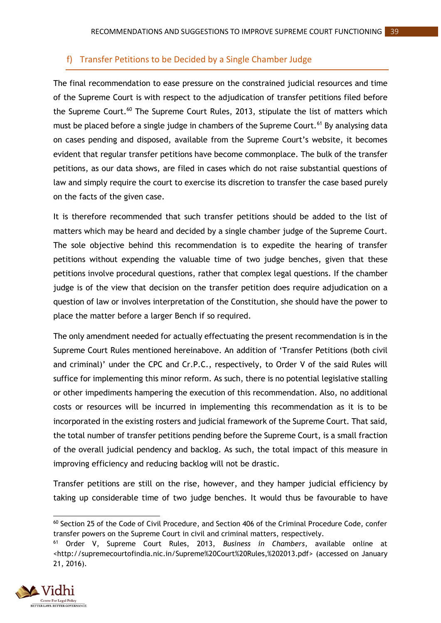#### <span id="page-43-0"></span>f) Transfer Petitions to be Decided by a Single Chamber Judge

The final recommendation to ease pressure on the constrained judicial resources and time of the Supreme Court is with respect to the adjudication of transfer petitions filed before the Supreme Court.<sup>60</sup> The Supreme Court Rules, 2013, stipulate the list of matters which must be placed before a single judge in chambers of the Supreme Court.<sup>61</sup> By analysing data on cases pending and disposed, available from the Supreme Court's website, it becomes evident that regular transfer petitions have become commonplace. The bulk of the transfer petitions, as our data shows, are filed in cases which do not raise substantial questions of law and simply require the court to exercise its discretion to transfer the case based purely on the facts of the given case.

It is therefore recommended that such transfer petitions should be added to the list of matters which may be heard and decided by a single chamber judge of the Supreme Court. The sole objective behind this recommendation is to expedite the hearing of transfer petitions without expending the valuable time of two judge benches, given that these petitions involve procedural questions, rather that complex legal questions. If the chamber judge is of the view that decision on the transfer petition does require adjudication on a question of law or involves interpretation of the Constitution, she should have the power to place the matter before a larger Bench if so required.

The only amendment needed for actually effectuating the present recommendation is in the Supreme Court Rules mentioned hereinabove. An addition of 'Transfer Petitions (both civil and criminal)' under the CPC and Cr.P.C., respectively, to Order V of the said Rules will suffice for implementing this minor reform. As such, there is no potential legislative stalling or other impediments hampering the execution of this recommendation. Also, no additional costs or resources will be incurred in implementing this recommendation as it is to be incorporated in the existing rosters and judicial framework of the Supreme Court. That said, the total number of transfer petitions pending before the Supreme Court, is a small fraction of the overall judicial pendency and backlog. As such, the total impact of this measure in improving efficiency and reducing backlog will not be drastic.

Transfer petitions are still on the rise, however, and they hamper judicial efficiency by taking up considerable time of two judge benches. It would thus be favourable to have

<sup>61</sup> Order V, Supreme Court Rules, 2013, *Business in Chambers*, available online at [<http://supremecourtofindia.nic.in/Supreme%20Court%20Rules,%202013.pdf>](http://supremecourtofindia.nic.in/Supreme%20Court%20Rules,%202013.pdf) (accessed on January 21, 2016).



 $\overline{a}$  $60$  Section 25 of the Code of Civil Procedure, and Section 406 of the Criminal Procedure Code, confer transfer powers on the Supreme Court in civil and criminal matters, respectively.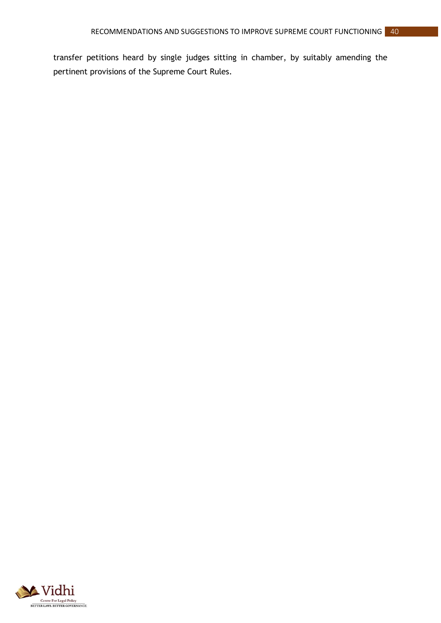transfer petitions heard by single judges sitting in chamber, by suitably amending the pertinent provisions of the Supreme Court Rules.